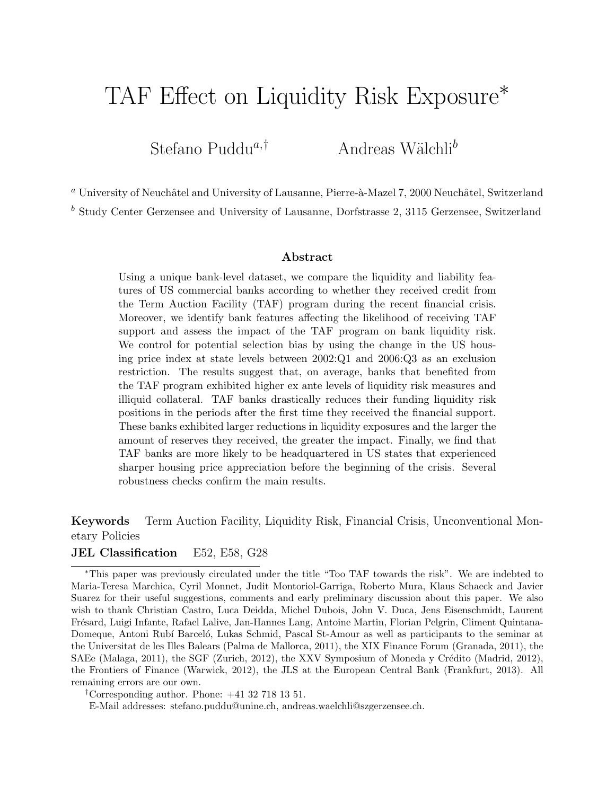# TAF Effect on Liquidity Risk Exposure<sup>\*</sup>

Stefano Puddu<sup>a,†</sup> Andreas Wälchli<sup>b</sup>

<sup>a</sup> University of Neuchâtel and University of Lausanne, Pierre-à-Mazel 7, 2000 Neuchâtel, Switzerland

<sup>b</sup> Study Center Gerzensee and University of Lausanne, Dorfstrasse 2, 3115 Gerzensee, Switzerland

#### Abstract

Using a unique bank-level dataset, we compare the liquidity and liability features of US commercial banks according to whether they received credit from the Term Auction Facility (TAF) program during the recent financial crisis. Moreover, we identify bank features affecting the likelihood of receiving TAF support and assess the impact of the TAF program on bank liquidity risk. We control for potential selection bias by using the change in the US housing price index at state levels between 2002:Q1 and 2006:Q3 as an exclusion restriction. The results suggest that, on average, banks that benefited from the TAF program exhibited higher ex ante levels of liquidity risk measures and illiquid collateral. TAF banks drastically reduces their funding liquidity risk positions in the periods after the first time they received the financial support. These banks exhibited larger reductions in liquidity exposures and the larger the amount of reserves they received, the greater the impact. Finally, we find that TAF banks are more likely to be headquartered in US states that experienced sharper housing price appreciation before the beginning of the crisis. Several robustness checks confirm the main results.

Keywords Term Auction Facility, Liquidity Risk, Financial Crisis, Unconventional Monetary Policies

#### JEL Classification E52, E58, G28

†Corresponding author. Phone: +41 32 718 13 51.

E-Mail addresses: stefano.puddu@unine.ch, andreas.waelchli@szgerzensee.ch.

<sup>∗</sup>This paper was previously circulated under the title "Too TAF towards the risk". We are indebted to Maria-Teresa Marchica, Cyril Monnet, Judit Montoriol-Garriga, Roberto Mura, Klaus Schaeck and Javier Suarez for their useful suggestions, comments and early preliminary discussion about this paper. We also wish to thank Christian Castro, Luca Deidda, Michel Dubois, John V. Duca, Jens Eisenschmidt, Laurent Fr´esard, Luigi Infante, Rafael Lalive, Jan-Hannes Lang, Antoine Martin, Florian Pelgrin, Climent Quintana-Domeque, Antoni Rubí Barceló, Lukas Schmid, Pascal St-Amour as well as participants to the seminar at the Universitat de les Illes Balears (Palma de Mallorca, 2011), the XIX Finance Forum (Granada, 2011), the SAEe (Malaga, 2011), the SGF (Zurich, 2012), the XXV Symposium of Moneda y Crédito (Madrid, 2012), the Frontiers of Finance (Warwick, 2012), the JLS at the European Central Bank (Frankfurt, 2013). All remaining errors are our own.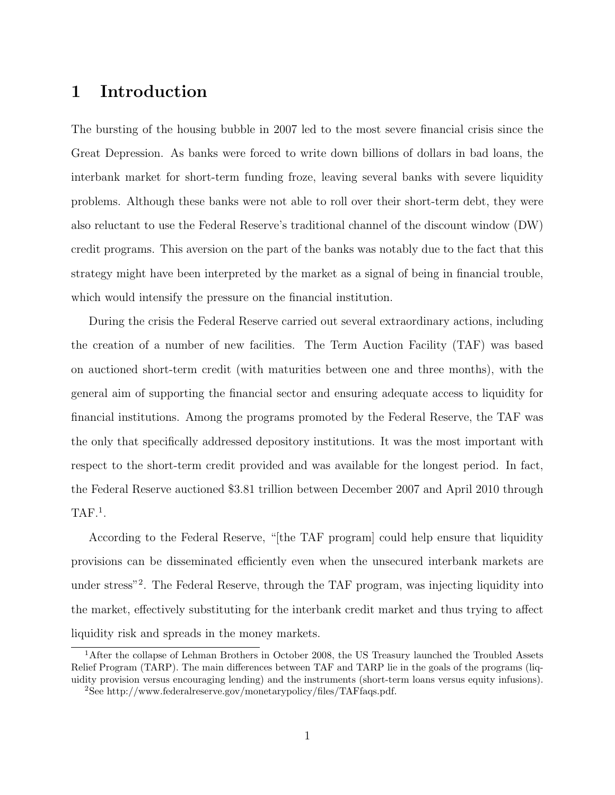# 1 Introduction

The bursting of the housing bubble in 2007 led to the most severe financial crisis since the Great Depression. As banks were forced to write down billions of dollars in bad loans, the interbank market for short-term funding froze, leaving several banks with severe liquidity problems. Although these banks were not able to roll over their short-term debt, they were also reluctant to use the Federal Reserve's traditional channel of the discount window (DW) credit programs. This aversion on the part of the banks was notably due to the fact that this strategy might have been interpreted by the market as a signal of being in financial trouble, which would intensify the pressure on the financial institution.

During the crisis the Federal Reserve carried out several extraordinary actions, including the creation of a number of new facilities. The Term Auction Facility (TAF) was based on auctioned short-term credit (with maturities between one and three months), with the general aim of supporting the financial sector and ensuring adequate access to liquidity for financial institutions. Among the programs promoted by the Federal Reserve, the TAF was the only that specifically addressed depository institutions. It was the most important with respect to the short-term credit provided and was available for the longest period. In fact, the Federal Reserve auctioned \$3.81 trillion between December 2007 and April 2010 through  $TAF.<sup>1</sup>$ .

According to the Federal Reserve, "[the TAF program] could help ensure that liquidity provisions can be disseminated efficiently even when the unsecured interbank markets are under stress"<sup>2</sup> . The Federal Reserve, through the TAF program, was injecting liquidity into the market, effectively substituting for the interbank credit market and thus trying to affect liquidity risk and spreads in the money markets.

<sup>&</sup>lt;sup>1</sup>After the collapse of Lehman Brothers in October 2008, the US Treasury launched the Troubled Assets Relief Program (TARP). The main differences between TAF and TARP lie in the goals of the programs (liquidity provision versus encouraging lending) and the instruments (short-term loans versus equity infusions).

<sup>2</sup>See http://www.federalreserve.gov/monetarypolicy/files/TAFfaqs.pdf.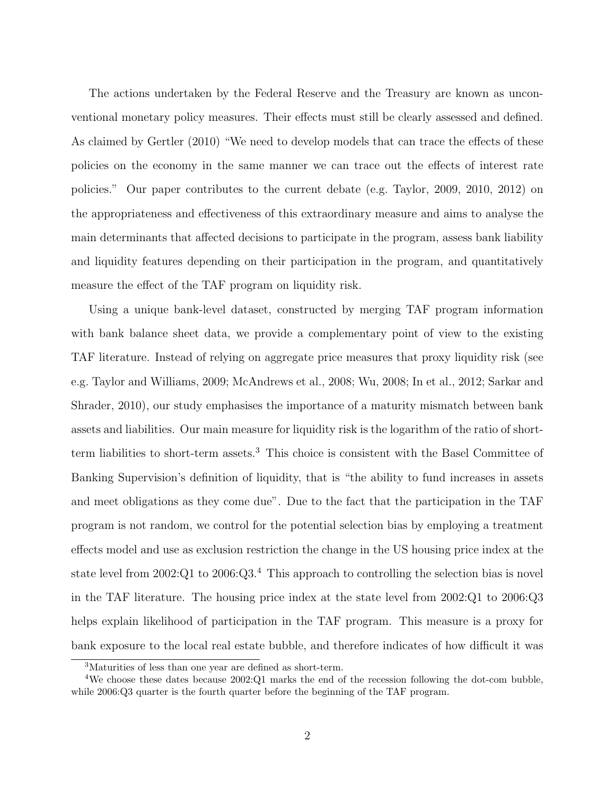The actions undertaken by the Federal Reserve and the Treasury are known as unconventional monetary policy measures. Their effects must still be clearly assessed and defined. As claimed by Gertler (2010) "We need to develop models that can trace the effects of these policies on the economy in the same manner we can trace out the effects of interest rate policies." Our paper contributes to the current debate (e.g. Taylor, 2009, 2010, 2012) on the appropriateness and effectiveness of this extraordinary measure and aims to analyse the main determinants that affected decisions to participate in the program, assess bank liability and liquidity features depending on their participation in the program, and quantitatively measure the effect of the TAF program on liquidity risk.

Using a unique bank-level dataset, constructed by merging TAF program information with bank balance sheet data, we provide a complementary point of view to the existing TAF literature. Instead of relying on aggregate price measures that proxy liquidity risk (see e.g. Taylor and Williams, 2009; McAndrews et al., 2008; Wu, 2008; In et al., 2012; Sarkar and Shrader, 2010), our study emphasises the importance of a maturity mismatch between bank assets and liabilities. Our main measure for liquidity risk is the logarithm of the ratio of shortterm liabilities to short-term assets.<sup>3</sup> This choice is consistent with the Basel Committee of Banking Supervision's definition of liquidity, that is "the ability to fund increases in assets and meet obligations as they come due". Due to the fact that the participation in the TAF program is not random, we control for the potential selection bias by employing a treatment effects model and use as exclusion restriction the change in the US housing price index at the state level from  $2002:Q1$  to  $2006:Q3<sup>4</sup>$ . This approach to controlling the selection bias is novel in the TAF literature. The housing price index at the state level from 2002:Q1 to 2006:Q3 helps explain likelihood of participation in the TAF program. This measure is a proxy for bank exposure to the local real estate bubble, and therefore indicates of how difficult it was

<sup>3</sup>Maturities of less than one year are defined as short-term.

<sup>4</sup>We choose these dates because 2002:Q1 marks the end of the recession following the dot-com bubble, while 2006:Q3 quarter is the fourth quarter before the beginning of the TAF program.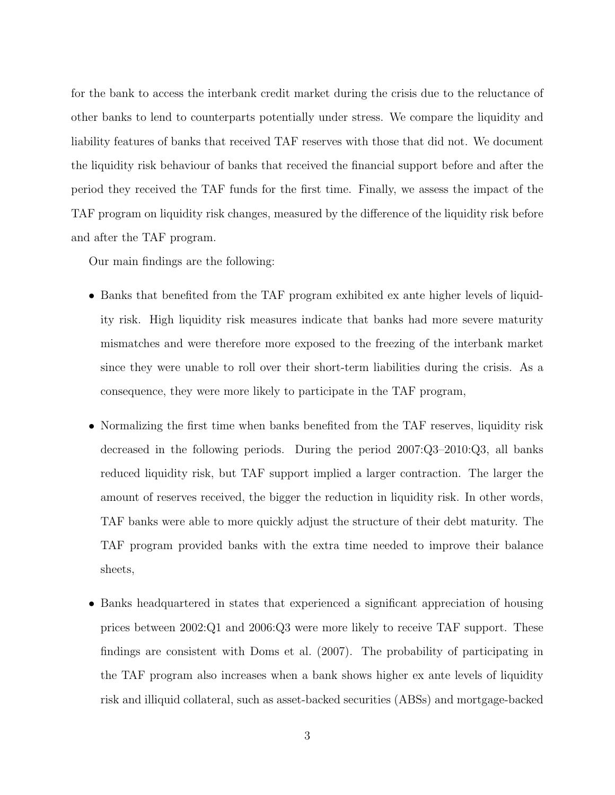for the bank to access the interbank credit market during the crisis due to the reluctance of other banks to lend to counterparts potentially under stress. We compare the liquidity and liability features of banks that received TAF reserves with those that did not. We document the liquidity risk behaviour of banks that received the financial support before and after the period they received the TAF funds for the first time. Finally, we assess the impact of the TAF program on liquidity risk changes, measured by the difference of the liquidity risk before and after the TAF program.

Our main findings are the following:

- Banks that benefited from the TAF program exhibited ex ante higher levels of liquidity risk. High liquidity risk measures indicate that banks had more severe maturity mismatches and were therefore more exposed to the freezing of the interbank market since they were unable to roll over their short-term liabilities during the crisis. As a consequence, they were more likely to participate in the TAF program,
- Normalizing the first time when banks benefited from the TAF reserves, liquidity risk decreased in the following periods. During the period 2007:Q3–2010:Q3, all banks reduced liquidity risk, but TAF support implied a larger contraction. The larger the amount of reserves received, the bigger the reduction in liquidity risk. In other words, TAF banks were able to more quickly adjust the structure of their debt maturity. The TAF program provided banks with the extra time needed to improve their balance sheets,
- Banks headquartered in states that experienced a significant appreciation of housing prices between 2002:Q1 and 2006:Q3 were more likely to receive TAF support. These findings are consistent with Doms et al. (2007). The probability of participating in the TAF program also increases when a bank shows higher ex ante levels of liquidity risk and illiquid collateral, such as asset-backed securities (ABSs) and mortgage-backed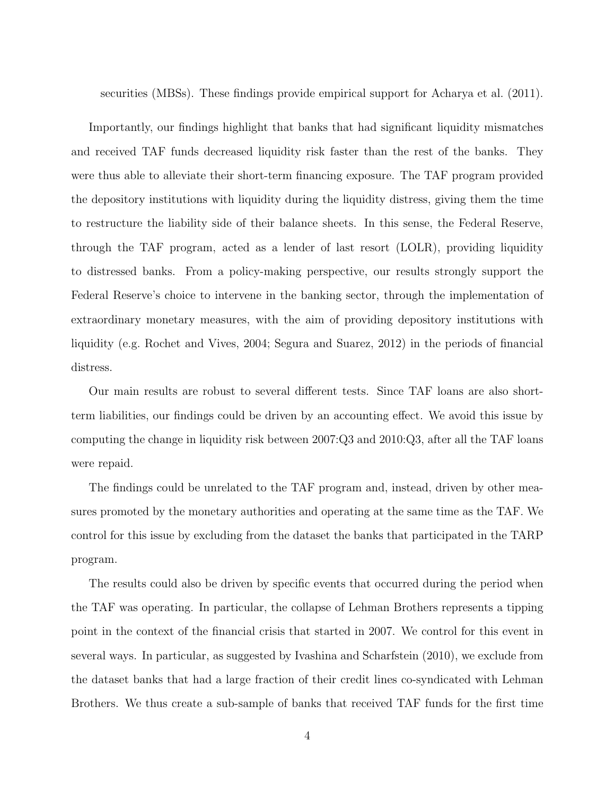securities (MBSs). These findings provide empirical support for Acharya et al. (2011).

Importantly, our findings highlight that banks that had significant liquidity mismatches and received TAF funds decreased liquidity risk faster than the rest of the banks. They were thus able to alleviate their short-term financing exposure. The TAF program provided the depository institutions with liquidity during the liquidity distress, giving them the time to restructure the liability side of their balance sheets. In this sense, the Federal Reserve, through the TAF program, acted as a lender of last resort (LOLR), providing liquidity to distressed banks. From a policy-making perspective, our results strongly support the Federal Reserve's choice to intervene in the banking sector, through the implementation of extraordinary monetary measures, with the aim of providing depository institutions with liquidity (e.g. Rochet and Vives, 2004; Segura and Suarez, 2012) in the periods of financial distress.

Our main results are robust to several different tests. Since TAF loans are also shortterm liabilities, our findings could be driven by an accounting effect. We avoid this issue by computing the change in liquidity risk between 2007:Q3 and 2010:Q3, after all the TAF loans were repaid.

The findings could be unrelated to the TAF program and, instead, driven by other measures promoted by the monetary authorities and operating at the same time as the TAF. We control for this issue by excluding from the dataset the banks that participated in the TARP program.

The results could also be driven by specific events that occurred during the period when the TAF was operating. In particular, the collapse of Lehman Brothers represents a tipping point in the context of the financial crisis that started in 2007. We control for this event in several ways. In particular, as suggested by Ivashina and Scharfstein (2010), we exclude from the dataset banks that had a large fraction of their credit lines co-syndicated with Lehman Brothers. We thus create a sub-sample of banks that received TAF funds for the first time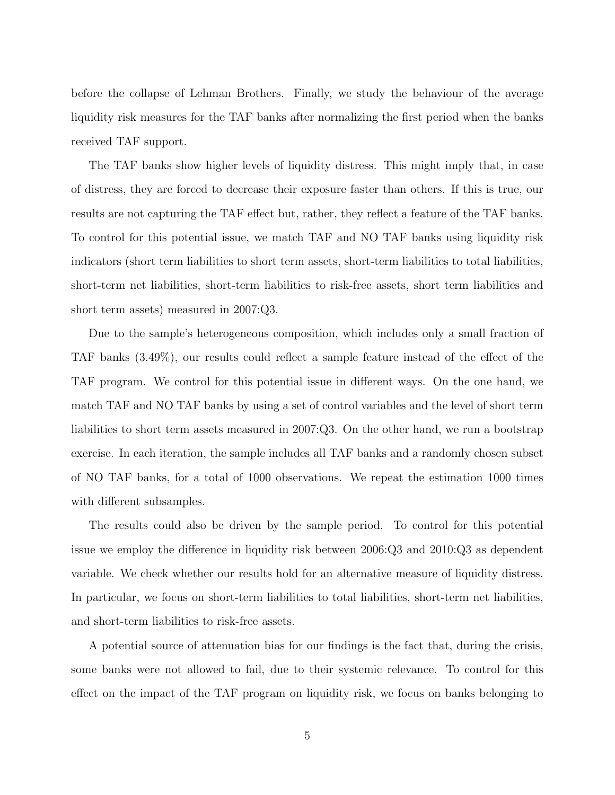before the collapse of Lehman Brothers. Finally, we study the behaviour of the average liquidity risk measures for the TAF banks after normalizing the first period when the banks received TAF support.

The TAF banks show higher levels of liquidity distress. This might imply that, in case of distress, they are forced to decrease their exposure faster than others. If this is true, our results are not capturing the TAF effect but, rather, they reflect a feature of the TAF banks. To control for this potential issue, we match TAF and NO TAF banks using liquidity risk indicators (short term liabilities to short term assets, short-term liabilities to total liabilities, short-term net liabilities, short-term liabilities to risk-free assets, short term liabilities and short term assets) measured in 2007:Q3.

Due to the sample's heterogeneous composition, which includes only a small fraction of TAF banks (3.49%), our results could reflect a sample feature instead of the effect of the TAF program. We control for this potential issue in different ways. On the one hand, we match TAF and NO TAF banks by using a set of control variables and the level of short term liabilities to short term assets measured in 2007:Q3. On the other hand, we run a bootstrap exercise. In each iteration, the sample includes all TAF banks and a randomly chosen subset of NO TAF banks, for a total of 1000 observations. We repeat the estimation 1000 times with different subsamples.

The results could also be driven by the sample period. To control for this potential issue we employ the difference in liquidity risk between 2006:Q3 and 2010:Q3 as dependent variable. We check whether our results hold for an alternative measure of liquidity distress. In particular, we focus on short-term liabilities to total liabilities, short-term net liabilities, and short-term liabilities to risk-free assets.

A potential source of attenuation bias for our findings is the fact that, during the crisis, some banks were not allowed to fail, due to their systemic relevance. To control for this effect on the impact of the TAF program on liquidity risk, we focus on banks belonging to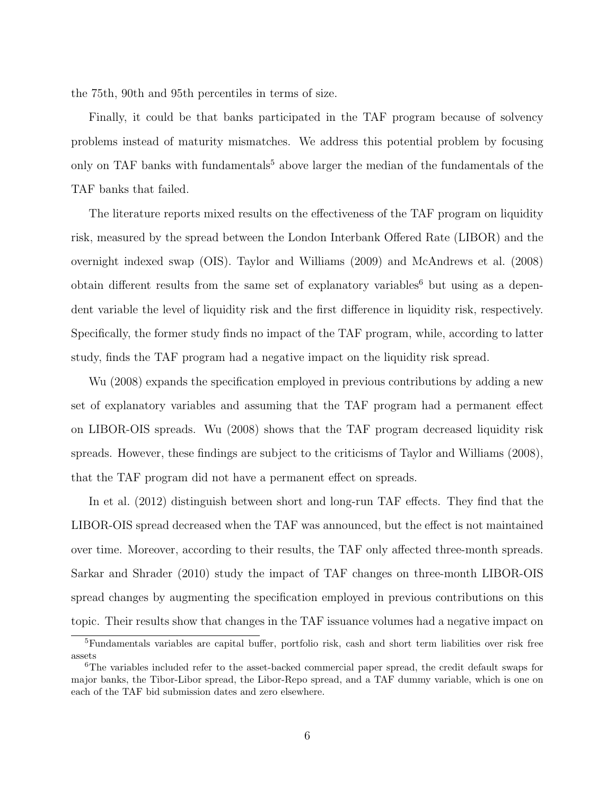the 75th, 90th and 95th percentiles in terms of size.

Finally, it could be that banks participated in the TAF program because of solvency problems instead of maturity mismatches. We address this potential problem by focusing only on TAF banks with fundamentals<sup>5</sup> above larger the median of the fundamentals of the TAF banks that failed.

The literature reports mixed results on the effectiveness of the TAF program on liquidity risk, measured by the spread between the London Interbank Offered Rate (LIBOR) and the overnight indexed swap (OIS). Taylor and Williams (2009) and McAndrews et al. (2008) obtain different results from the same set of explanatory variables<sup>6</sup> but using as a dependent variable the level of liquidity risk and the first difference in liquidity risk, respectively. Specifically, the former study finds no impact of the TAF program, while, according to latter study, finds the TAF program had a negative impact on the liquidity risk spread.

Wu (2008) expands the specification employed in previous contributions by adding a new set of explanatory variables and assuming that the TAF program had a permanent effect on LIBOR-OIS spreads. Wu (2008) shows that the TAF program decreased liquidity risk spreads. However, these findings are subject to the criticisms of Taylor and Williams (2008), that the TAF program did not have a permanent effect on spreads.

In et al. (2012) distinguish between short and long-run TAF effects. They find that the LIBOR-OIS spread decreased when the TAF was announced, but the effect is not maintained over time. Moreover, according to their results, the TAF only affected three-month spreads. Sarkar and Shrader (2010) study the impact of TAF changes on three-month LIBOR-OIS spread changes by augmenting the specification employed in previous contributions on this topic. Their results show that changes in the TAF issuance volumes had a negative impact on

<sup>5</sup>Fundamentals variables are capital buffer, portfolio risk, cash and short term liabilities over risk free assets

<sup>6</sup>The variables included refer to the asset-backed commercial paper spread, the credit default swaps for major banks, the Tibor-Libor spread, the Libor-Repo spread, and a TAF dummy variable, which is one on each of the TAF bid submission dates and zero elsewhere.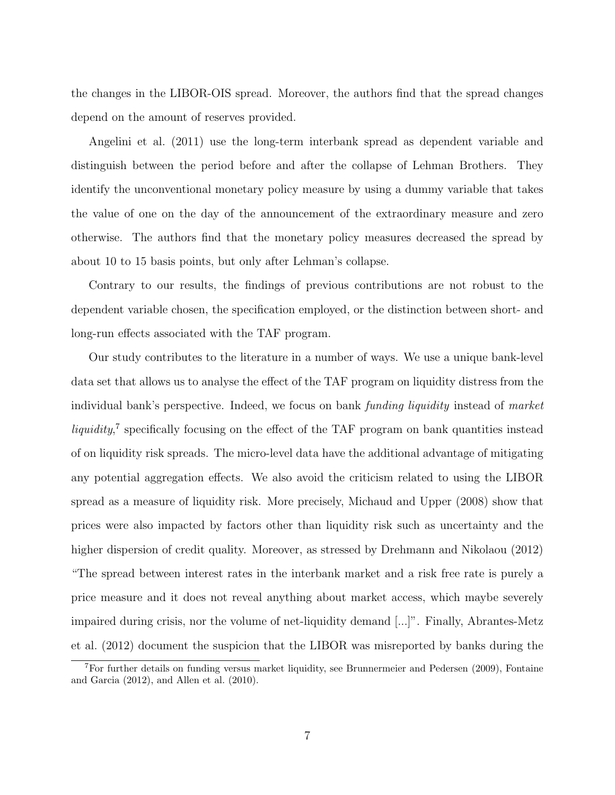the changes in the LIBOR-OIS spread. Moreover, the authors find that the spread changes depend on the amount of reserves provided.

Angelini et al. (2011) use the long-term interbank spread as dependent variable and distinguish between the period before and after the collapse of Lehman Brothers. They identify the unconventional monetary policy measure by using a dummy variable that takes the value of one on the day of the announcement of the extraordinary measure and zero otherwise. The authors find that the monetary policy measures decreased the spread by about 10 to 15 basis points, but only after Lehman's collapse.

Contrary to our results, the findings of previous contributions are not robust to the dependent variable chosen, the specification employed, or the distinction between short- and long-run effects associated with the TAF program.

Our study contributes to the literature in a number of ways. We use a unique bank-level data set that allows us to analyse the effect of the TAF program on liquidity distress from the individual bank's perspective. Indeed, we focus on bank *funding liquidity* instead of market liquidity,<sup>7</sup> specifically focusing on the effect of the TAF program on bank quantities instead of on liquidity risk spreads. The micro-level data have the additional advantage of mitigating any potential aggregation effects. We also avoid the criticism related to using the LIBOR spread as a measure of liquidity risk. More precisely, Michaud and Upper (2008) show that prices were also impacted by factors other than liquidity risk such as uncertainty and the higher dispersion of credit quality. Moreover, as stressed by Drehmann and Nikolaou (2012) "The spread between interest rates in the interbank market and a risk free rate is purely a price measure and it does not reveal anything about market access, which maybe severely impaired during crisis, nor the volume of net-liquidity demand [...]". Finally, Abrantes-Metz et al. (2012) document the suspicion that the LIBOR was misreported by banks during the

<sup>7</sup>For further details on funding versus market liquidity, see Brunnermeier and Pedersen (2009), Fontaine and Garcia (2012), and Allen et al. (2010).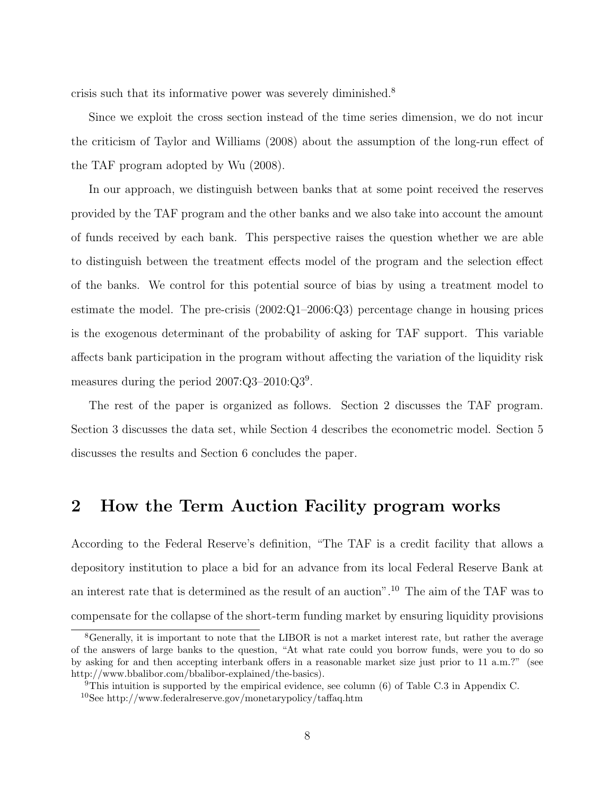crisis such that its informative power was severely diminished.<sup>8</sup>

Since we exploit the cross section instead of the time series dimension, we do not incur the criticism of Taylor and Williams (2008) about the assumption of the long-run effect of the TAF program adopted by Wu (2008).

In our approach, we distinguish between banks that at some point received the reserves provided by the TAF program and the other banks and we also take into account the amount of funds received by each bank. This perspective raises the question whether we are able to distinguish between the treatment effects model of the program and the selection effect of the banks. We control for this potential source of bias by using a treatment model to estimate the model. The pre-crisis  $(2002:Q1-2006:Q3)$  percentage change in housing prices is the exogenous determinant of the probability of asking for TAF support. This variable affects bank participation in the program without affecting the variation of the liquidity risk measures during the period  $2007:Q3-2010:Q3<sup>9</sup>$ .

The rest of the paper is organized as follows. Section 2 discusses the TAF program. Section 3 discusses the data set, while Section 4 describes the econometric model. Section 5 discusses the results and Section 6 concludes the paper.

## 2 How the Term Auction Facility program works

According to the Federal Reserve's definition, "The TAF is a credit facility that allows a depository institution to place a bid for an advance from its local Federal Reserve Bank at an interest rate that is determined as the result of an auction".<sup>10</sup> The aim of the TAF was to compensate for the collapse of the short-term funding market by ensuring liquidity provisions

<sup>&</sup>lt;sup>8</sup>Generally, it is important to note that the LIBOR is not a market interest rate, but rather the average of the answers of large banks to the question, "At what rate could you borrow funds, were you to do so by asking for and then accepting interbank offers in a reasonable market size just prior to 11 a.m.?" (see http://www.bbalibor.com/bbalibor-explained/the-basics).

<sup>&</sup>lt;sup>9</sup>This intuition is supported by the empirical evidence, see column  $(6)$  of Table C.3 in Appendix C.

<sup>10</sup>See http://www.federalreserve.gov/monetarypolicy/taffaq.htm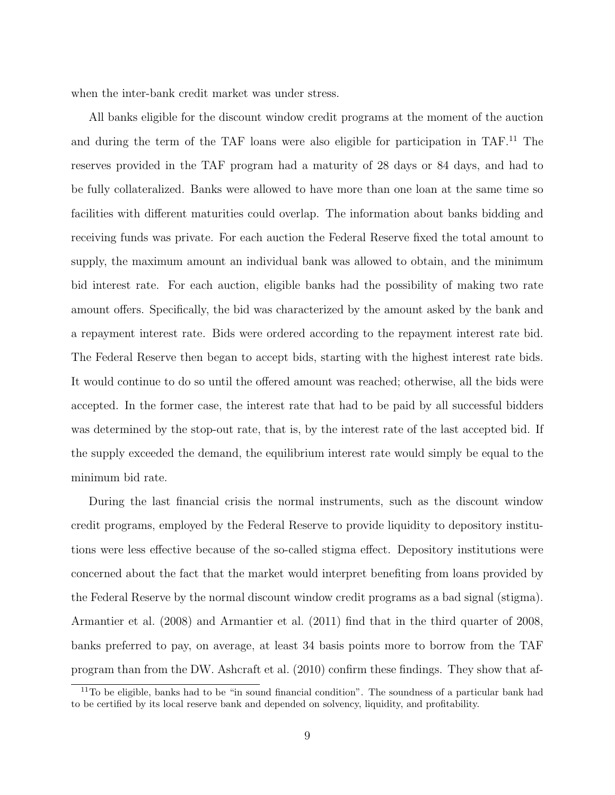when the inter-bank credit market was under stress.

All banks eligible for the discount window credit programs at the moment of the auction and during the term of the TAF loans were also eligible for participation in TAF.<sup>11</sup> The reserves provided in the TAF program had a maturity of 28 days or 84 days, and had to be fully collateralized. Banks were allowed to have more than one loan at the same time so facilities with different maturities could overlap. The information about banks bidding and receiving funds was private. For each auction the Federal Reserve fixed the total amount to supply, the maximum amount an individual bank was allowed to obtain, and the minimum bid interest rate. For each auction, eligible banks had the possibility of making two rate amount offers. Specifically, the bid was characterized by the amount asked by the bank and a repayment interest rate. Bids were ordered according to the repayment interest rate bid. The Federal Reserve then began to accept bids, starting with the highest interest rate bids. It would continue to do so until the offered amount was reached; otherwise, all the bids were accepted. In the former case, the interest rate that had to be paid by all successful bidders was determined by the stop-out rate, that is, by the interest rate of the last accepted bid. If the supply exceeded the demand, the equilibrium interest rate would simply be equal to the minimum bid rate.

During the last financial crisis the normal instruments, such as the discount window credit programs, employed by the Federal Reserve to provide liquidity to depository institutions were less effective because of the so-called stigma effect. Depository institutions were concerned about the fact that the market would interpret benefiting from loans provided by the Federal Reserve by the normal discount window credit programs as a bad signal (stigma). Armantier et al. (2008) and Armantier et al. (2011) find that in the third quarter of 2008, banks preferred to pay, on average, at least 34 basis points more to borrow from the TAF program than from the DW. Ashcraft et al. (2010) confirm these findings. They show that af-

<sup>&</sup>lt;sup>11</sup>To be eligible, banks had to be "in sound financial condition". The soundness of a particular bank had to be certified by its local reserve bank and depended on solvency, liquidity, and profitability.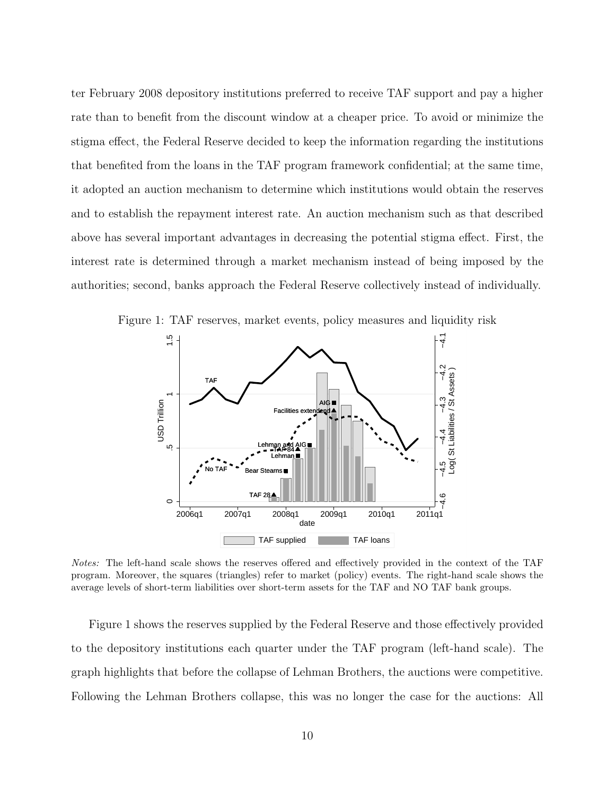ter February 2008 depository institutions preferred to receive TAF support and pay a higher rate than to benefit from the discount window at a cheaper price. To avoid or minimize the stigma effect, the Federal Reserve decided to keep the information regarding the institutions that benefited from the loans in the TAF program framework confidential; at the same time, it adopted an auction mechanism to determine which institutions would obtain the reserves and to establish the repayment interest rate. An auction mechanism such as that described above has several important advantages in decreasing the potential stigma effect. First, the interest rate is determined through a market mechanism instead of being imposed by the authorities; second, banks approach the Federal Reserve collectively instead of individually.



Figure 1: TAF reserves, market events, policy measures and liquidity risk

Notes: The left-hand scale shows the reserves offered and effectively provided in the context of the TAF program. Moreover, the squares (triangles) refer to market (policy) events. The right-hand scale shows the average levels of short-term liabilities over short-term assets for the TAF and NO TAF bank groups.

Figure 1 shows the reserves supplied by the Federal Reserve and those effectively provided to the depository institutions each quarter under the TAF program (left-hand scale). The graph highlights that before the collapse of Lehman Brothers, the auctions were competitive. Following the Lehman Brothers collapse, this was no longer the case for the auctions: All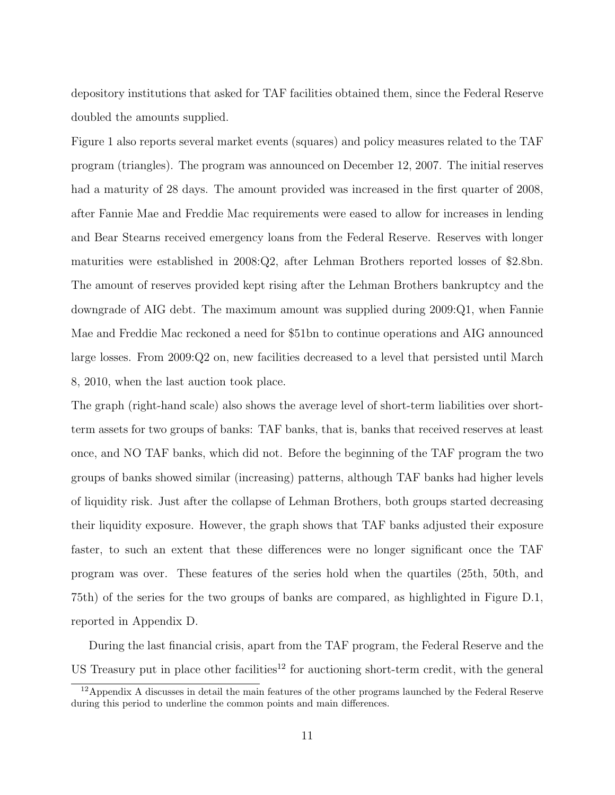depository institutions that asked for TAF facilities obtained them, since the Federal Reserve doubled the amounts supplied.

Figure 1 also reports several market events (squares) and policy measures related to the TAF program (triangles). The program was announced on December 12, 2007. The initial reserves had a maturity of 28 days. The amount provided was increased in the first quarter of 2008, after Fannie Mae and Freddie Mac requirements were eased to allow for increases in lending and Bear Stearns received emergency loans from the Federal Reserve. Reserves with longer maturities were established in 2008:Q2, after Lehman Brothers reported losses of \$2.8bn. The amount of reserves provided kept rising after the Lehman Brothers bankruptcy and the downgrade of AIG debt. The maximum amount was supplied during 2009:Q1, when Fannie Mae and Freddie Mac reckoned a need for \$51bn to continue operations and AIG announced large losses. From 2009:Q2 on, new facilities decreased to a level that persisted until March 8, 2010, when the last auction took place.

The graph (right-hand scale) also shows the average level of short-term liabilities over shortterm assets for two groups of banks: TAF banks, that is, banks that received reserves at least once, and NO TAF banks, which did not. Before the beginning of the TAF program the two groups of banks showed similar (increasing) patterns, although TAF banks had higher levels of liquidity risk. Just after the collapse of Lehman Brothers, both groups started decreasing their liquidity exposure. However, the graph shows that TAF banks adjusted their exposure faster, to such an extent that these differences were no longer significant once the TAF program was over. These features of the series hold when the quartiles (25th, 50th, and 75th) of the series for the two groups of banks are compared, as highlighted in Figure D.1, reported in Appendix D.

During the last financial crisis, apart from the TAF program, the Federal Reserve and the US Treasury put in place other facilities<sup>12</sup> for auctioning short-term credit, with the general

 $12$ Appendix A discusses in detail the main features of the other programs launched by the Federal Reserve during this period to underline the common points and main differences.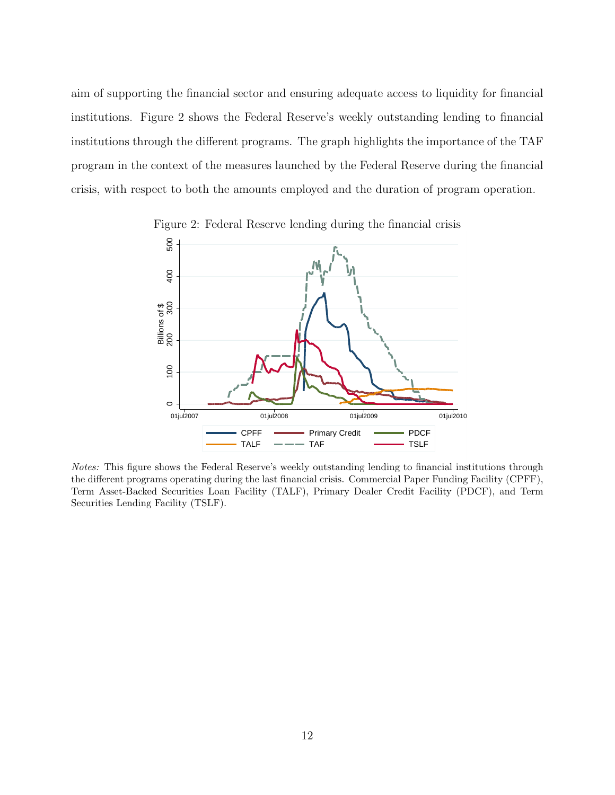aim of supporting the financial sector and ensuring adequate access to liquidity for financial institutions. Figure 2 shows the Federal Reserve's weekly outstanding lending to financial institutions through the different programs. The graph highlights the importance of the TAF program in the context of the measures launched by the Federal Reserve during the financial crisis, with respect to both the amounts employed and the duration of program operation.



Figure 2: Federal Reserve lending during the financial crisis

Notes: This figure shows the Federal Reserve's weekly outstanding lending to financial institutions through the different programs operating during the last financial crisis. Commercial Paper Funding Facility (CPFF), Term Asset-Backed Securities Loan Facility (TALF), Primary Dealer Credit Facility (PDCF), and Term Securities Lending Facility (TSLF).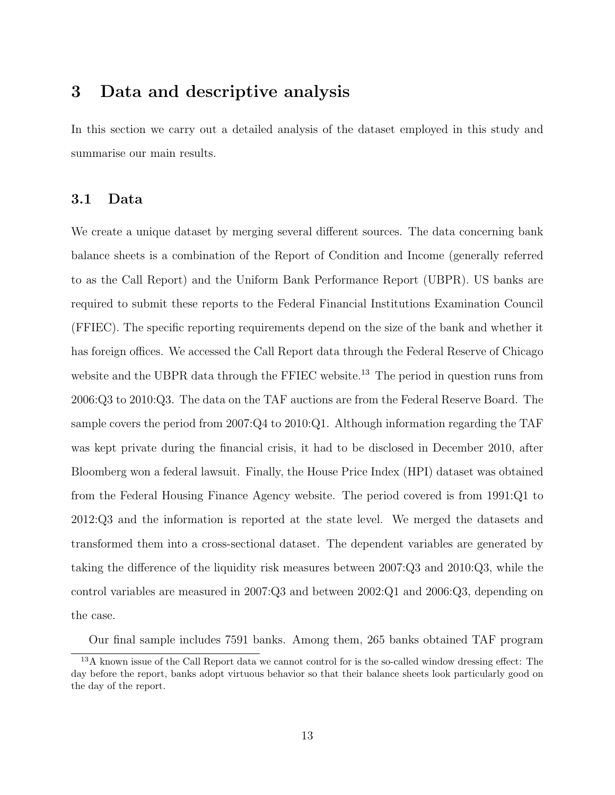## 3 Data and descriptive analysis

In this section we carry out a detailed analysis of the dataset employed in this study and summarise our main results.

## 3.1 Data

We create a unique dataset by merging several different sources. The data concerning bank balance sheets is a combination of the Report of Condition and Income (generally referred to as the Call Report) and the Uniform Bank Performance Report (UBPR). US banks are required to submit these reports to the Federal Financial Institutions Examination Council (FFIEC). The specific reporting requirements depend on the size of the bank and whether it has foreign offices. We accessed the Call Report data through the Federal Reserve of Chicago website and the UBPR data through the FFIEC website.<sup>13</sup> The period in question runs from 2006:Q3 to 2010:Q3. The data on the TAF auctions are from the Federal Reserve Board. The sample covers the period from 2007:Q4 to 2010:Q1. Although information regarding the TAF was kept private during the financial crisis, it had to be disclosed in December 2010, after Bloomberg won a federal lawsuit. Finally, the House Price Index (HPI) dataset was obtained from the Federal Housing Finance Agency website. The period covered is from 1991:Q1 to 2012:Q3 and the information is reported at the state level. We merged the datasets and transformed them into a cross-sectional dataset. The dependent variables are generated by taking the difference of the liquidity risk measures between 2007:Q3 and 2010:Q3, while the control variables are measured in 2007:Q3 and between 2002:Q1 and 2006:Q3, depending on the case.

Our final sample includes 7591 banks. Among them, 265 banks obtained TAF program

<sup>13</sup>A known issue of the Call Report data we cannot control for is the so-called window dressing effect: The day before the report, banks adopt virtuous behavior so that their balance sheets look particularly good on the day of the report.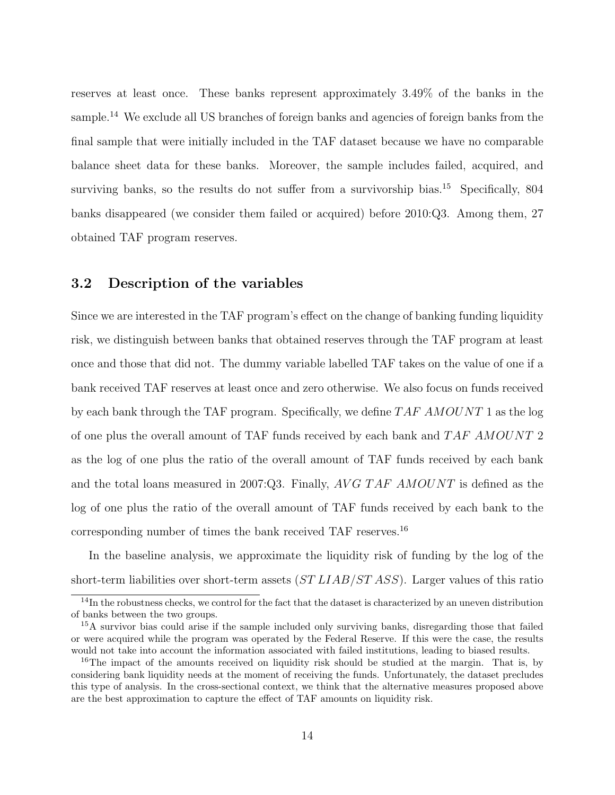reserves at least once. These banks represent approximately 3.49% of the banks in the sample.<sup>14</sup> We exclude all US branches of foreign banks and agencies of foreign banks from the final sample that were initially included in the TAF dataset because we have no comparable balance sheet data for these banks. Moreover, the sample includes failed, acquired, and surviving banks, so the results do not suffer from a survivorship bias.<sup>15</sup> Specifically, 804 banks disappeared (we consider them failed or acquired) before 2010:Q3. Among them, 27 obtained TAF program reserves.

## 3.2 Description of the variables

Since we are interested in the TAF program's effect on the change of banking funding liquidity risk, we distinguish between banks that obtained reserves through the TAF program at least once and those that did not. The dummy variable labelled TAF takes on the value of one if a bank received TAF reserves at least once and zero otherwise. We also focus on funds received by each bank through the TAF program. Specifically, we define  $TAFAMOUNT$  1 as the log of one plus the overall amount of TAF funds received by each bank and TAF AMOUNT 2 as the log of one plus the ratio of the overall amount of TAF funds received by each bank and the total loans measured in 2007:Q3. Finally, AVG TAF AMOUNT is defined as the log of one plus the ratio of the overall amount of TAF funds received by each bank to the corresponding number of times the bank received TAF reserves.<sup>16</sup>

In the baseline analysis, we approximate the liquidity risk of funding by the log of the short-term liabilities over short-term assets  $(STLLAB/STASS)$ . Larger values of this ratio

<sup>&</sup>lt;sup>14</sup>In the robustness checks, we control for the fact that the dataset is characterized by an uneven distribution of banks between the two groups.

<sup>&</sup>lt;sup>15</sup>A survivor bias could arise if the sample included only surviving banks, disregarding those that failed or were acquired while the program was operated by the Federal Reserve. If this were the case, the results would not take into account the information associated with failed institutions, leading to biased results.

<sup>&</sup>lt;sup>16</sup>The impact of the amounts received on liquidity risk should be studied at the margin. That is, by considering bank liquidity needs at the moment of receiving the funds. Unfortunately, the dataset precludes this type of analysis. In the cross-sectional context, we think that the alternative measures proposed above are the best approximation to capture the effect of TAF amounts on liquidity risk.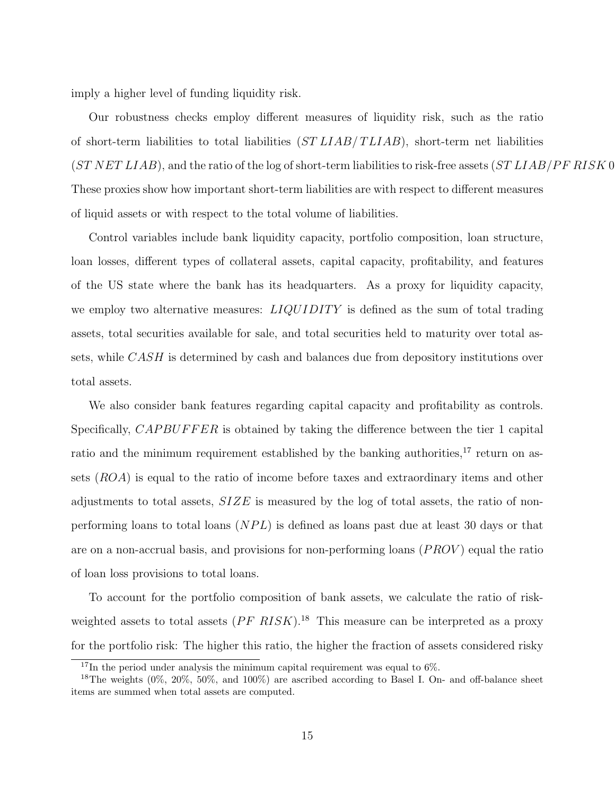imply a higher level of funding liquidity risk.

Our robustness checks employ different measures of liquidity risk, such as the ratio of short-term liabilities to total liabilities  $(STLLAB/TLLAB)$ , short-term net liabilities  $(STNETLIAB)$ , and the ratio of the log of short-term liabilities to risk-free assets  $(STLIAB/PFRISK0$ These proxies show how important short-term liabilities are with respect to different measures of liquid assets or with respect to the total volume of liabilities.

Control variables include bank liquidity capacity, portfolio composition, loan structure, loan losses, different types of collateral assets, capital capacity, profitability, and features of the US state where the bank has its headquarters. As a proxy for liquidity capacity, we employ two alternative measures:  $LIQUIDITY$  is defined as the sum of total trading assets, total securities available for sale, and total securities held to maturity over total assets, while CASH is determined by cash and balances due from depository institutions over total assets.

We also consider bank features regarding capital capacity and profitability as controls. Specifically, *CAPBUFFER* is obtained by taking the difference between the tier 1 capital ratio and the minimum requirement established by the banking authorities, $^{17}$  return on assets (ROA) is equal to the ratio of income before taxes and extraordinary items and other adjustments to total assets,  $SIZE$  is measured by the log of total assets, the ratio of nonperforming loans to total loans  $(NPL)$  is defined as loans past due at least 30 days or that are on a non-accrual basis, and provisions for non-performing loans  $(PROV)$  equal the ratio of loan loss provisions to total loans.

To account for the portfolio composition of bank assets, we calculate the ratio of riskweighted assets to total assets  $(PF\ RISK)$ .<sup>18</sup> This measure can be interpreted as a proxy for the portfolio risk: The higher this ratio, the higher the fraction of assets considered risky

 $17$ In the period under analysis the minimum capital requirement was equal to 6%.

<sup>&</sup>lt;sup>18</sup>The weights  $(0\%, 20\%, 50\%, \text{ and } 100\%)$  are ascribed according to Basel I. On- and off-balance sheet items are summed when total assets are computed.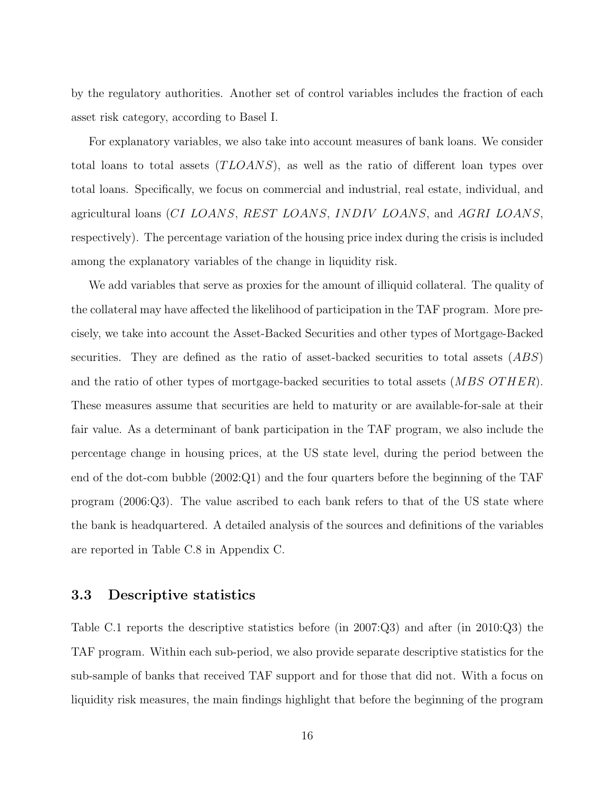by the regulatory authorities. Another set of control variables includes the fraction of each asset risk category, according to Basel I.

For explanatory variables, we also take into account measures of bank loans. We consider total loans to total assets  $(TLOANS)$ , as well as the ratio of different loan types over total loans. Specifically, we focus on commercial and industrial, real estate, individual, and agricultural loans (CI LOANS, REST LOANS, INDIV LOANS, and AGRI LOANS, respectively). The percentage variation of the housing price index during the crisis is included among the explanatory variables of the change in liquidity risk.

We add variables that serve as proxies for the amount of illiquid collateral. The quality of the collateral may have affected the likelihood of participation in the TAF program. More precisely, we take into account the Asset-Backed Securities and other types of Mortgage-Backed securities. They are defined as the ratio of asset-backed securities to total assets  $(ABS)$ and the ratio of other types of mortgage-backed securities to total assets  $(MBS\,OTHER)$ . These measures assume that securities are held to maturity or are available-for-sale at their fair value. As a determinant of bank participation in the TAF program, we also include the percentage change in housing prices, at the US state level, during the period between the end of the dot-com bubble (2002:Q1) and the four quarters before the beginning of the TAF program (2006:Q3). The value ascribed to each bank refers to that of the US state where the bank is headquartered. A detailed analysis of the sources and definitions of the variables are reported in Table C.8 in Appendix C.

## 3.3 Descriptive statistics

Table C.1 reports the descriptive statistics before (in 2007:Q3) and after (in 2010:Q3) the TAF program. Within each sub-period, we also provide separate descriptive statistics for the sub-sample of banks that received TAF support and for those that did not. With a focus on liquidity risk measures, the main findings highlight that before the beginning of the program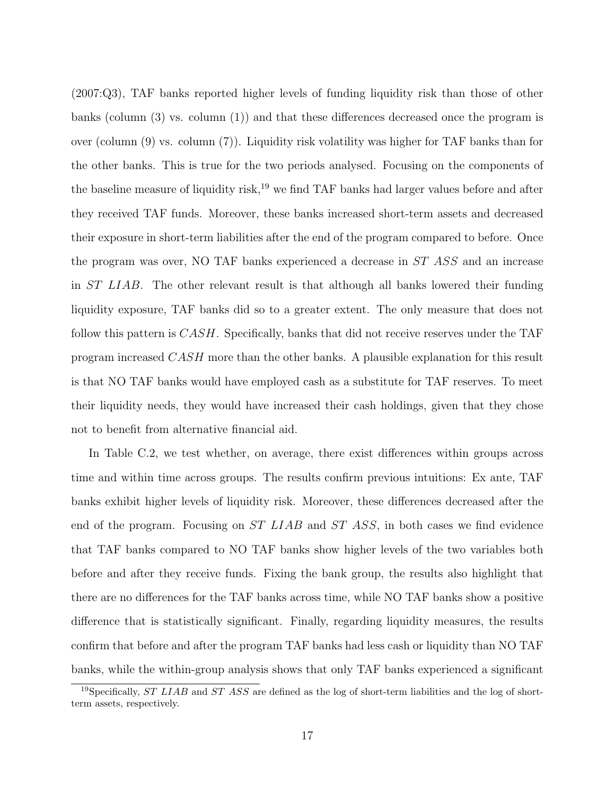(2007:Q3), TAF banks reported higher levels of funding liquidity risk than those of other banks (column (3) vs. column (1)) and that these differences decreased once the program is over (column  $(9)$  vs. column  $(7)$ ). Liquidity risk volatility was higher for TAF banks than for the other banks. This is true for the two periods analysed. Focusing on the components of the baseline measure of liquidity risk,<sup>19</sup> we find TAF banks had larger values before and after they received TAF funds. Moreover, these banks increased short-term assets and decreased their exposure in short-term liabilities after the end of the program compared to before. Once the program was over, NO TAF banks experienced a decrease in ST ASS and an increase in ST LIAB. The other relevant result is that although all banks lowered their funding liquidity exposure, TAF banks did so to a greater extent. The only measure that does not follow this pattern is CASH. Specifically, banks that did not receive reserves under the TAF program increased CASH more than the other banks. A plausible explanation for this result is that NO TAF banks would have employed cash as a substitute for TAF reserves. To meet their liquidity needs, they would have increased their cash holdings, given that they chose not to benefit from alternative financial aid.

In Table C.2, we test whether, on average, there exist differences within groups across time and within time across groups. The results confirm previous intuitions: Ex ante, TAF banks exhibit higher levels of liquidity risk. Moreover, these differences decreased after the end of the program. Focusing on ST LIAB and ST ASS, in both cases we find evidence that TAF banks compared to NO TAF banks show higher levels of the two variables both before and after they receive funds. Fixing the bank group, the results also highlight that there are no differences for the TAF banks across time, while NO TAF banks show a positive difference that is statistically significant. Finally, regarding liquidity measures, the results confirm that before and after the program TAF banks had less cash or liquidity than NO TAF banks, while the within-group analysis shows that only TAF banks experienced a significant

<sup>&</sup>lt;sup>19</sup>Specifically, *ST LIAB* and *ST ASS* are defined as the log of short-term liabilities and the log of shortterm assets, respectively.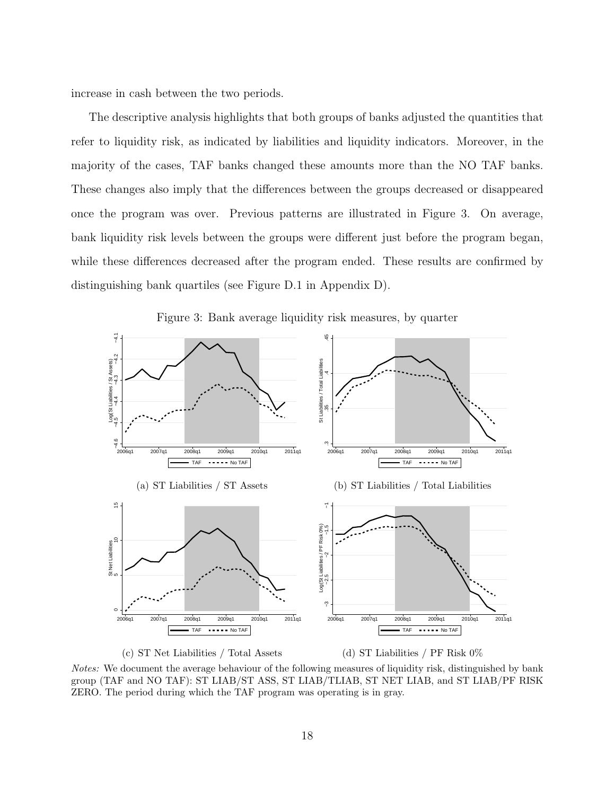increase in cash between the two periods.

The descriptive analysis highlights that both groups of banks adjusted the quantities that refer to liquidity risk, as indicated by liabilities and liquidity indicators. Moreover, in the majority of the cases, TAF banks changed these amounts more than the NO TAF banks. These changes also imply that the differences between the groups decreased or disappeared once the program was over. Previous patterns are illustrated in Figure 3. On average, bank liquidity risk levels between the groups were different just before the program began, while these differences decreased after the program ended. These results are confirmed by distinguishing bank quartiles (see Figure D.1 in Appendix D).



Figure 3: Bank average liquidity risk measures, by quarter



(d) ST Liabilities / PF Risk 0%

(c) ST Net Liabilities / Total Assets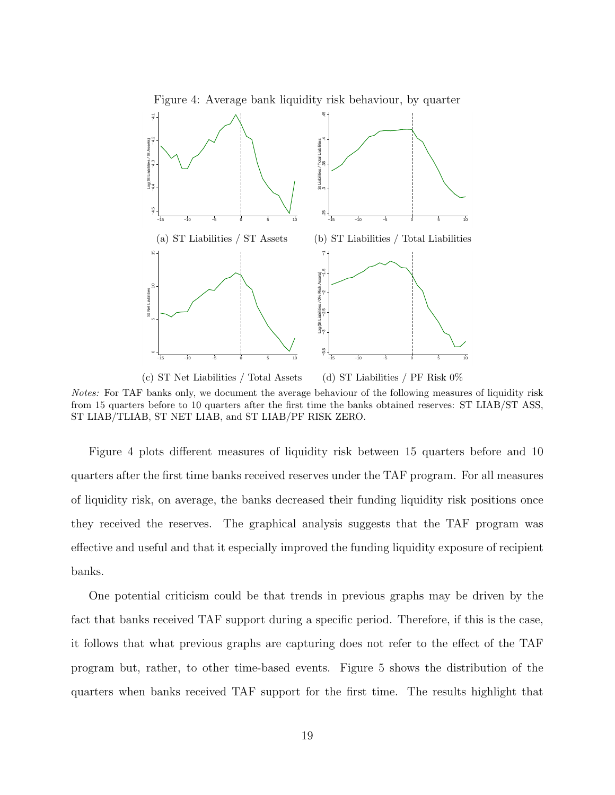

Notes: For TAF banks only, we document the average behaviour of the following measures of liquidity risk from 15 quarters before to 10 quarters after the first time the banks obtained reserves: ST LIAB/ST ASS, ST LIAB/TLIAB, ST NET LIAB, and ST LIAB/PF RISK ZERO.

Figure 4 plots different measures of liquidity risk between 15 quarters before and 10 quarters after the first time banks received reserves under the TAF program. For all measures of liquidity risk, on average, the banks decreased their funding liquidity risk positions once they received the reserves. The graphical analysis suggests that the TAF program was effective and useful and that it especially improved the funding liquidity exposure of recipient banks.

One potential criticism could be that trends in previous graphs may be driven by the fact that banks received TAF support during a specific period. Therefore, if this is the case, it follows that what previous graphs are capturing does not refer to the effect of the TAF program but, rather, to other time-based events. Figure 5 shows the distribution of the quarters when banks received TAF support for the first time. The results highlight that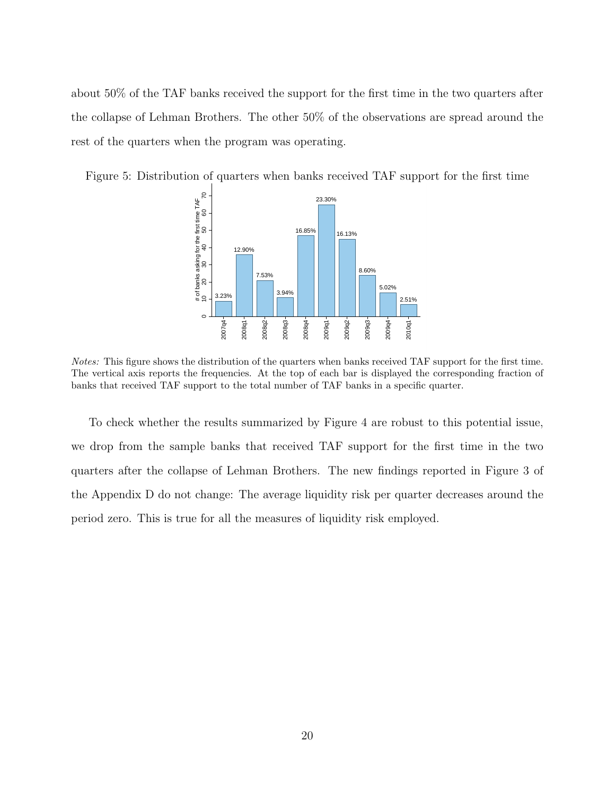about 50% of the TAF banks received the support for the first time in the two quarters after the collapse of Lehman Brothers. The other 50% of the observations are spread around the rest of the quarters when the program was operating.

Figure 5: Distribution of quarters when banks received TAF support for the first time



Notes: This figure shows the distribution of the quarters when banks received TAF support for the first time. The vertical axis reports the frequencies. At the top of each bar is displayed the corresponding fraction of banks that received TAF support to the total number of TAF banks in a specific quarter.

To check whether the results summarized by Figure 4 are robust to this potential issue, we drop from the sample banks that received TAF support for the first time in the two quarters after the collapse of Lehman Brothers. The new findings reported in Figure 3 of the Appendix D do not change: The average liquidity risk per quarter decreases around the period zero. This is true for all the measures of liquidity risk employed.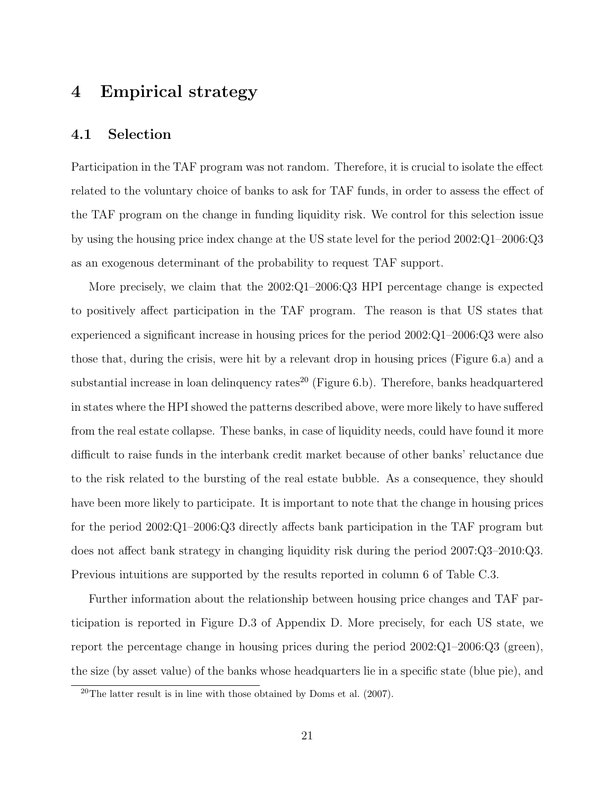## 4 Empirical strategy

### 4.1 Selection

Participation in the TAF program was not random. Therefore, it is crucial to isolate the effect related to the voluntary choice of banks to ask for TAF funds, in order to assess the effect of the TAF program on the change in funding liquidity risk. We control for this selection issue by using the housing price index change at the US state level for the period 2002:Q1–2006:Q3 as an exogenous determinant of the probability to request TAF support.

More precisely, we claim that the 2002:Q1–2006:Q3 HPI percentage change is expected to positively affect participation in the TAF program. The reason is that US states that experienced a significant increase in housing prices for the period 2002:Q1–2006:Q3 were also those that, during the crisis, were hit by a relevant drop in housing prices (Figure 6.a) and a substantial increase in loan delinquency rates<sup>20</sup> (Figure 6.b). Therefore, banks headquartered in states where the HPI showed the patterns described above, were more likely to have suffered from the real estate collapse. These banks, in case of liquidity needs, could have found it more difficult to raise funds in the interbank credit market because of other banks' reluctance due to the risk related to the bursting of the real estate bubble. As a consequence, they should have been more likely to participate. It is important to note that the change in housing prices for the period 2002:Q1–2006:Q3 directly affects bank participation in the TAF program but does not affect bank strategy in changing liquidity risk during the period 2007:Q3–2010:Q3. Previous intuitions are supported by the results reported in column 6 of Table C.3.

Further information about the relationship between housing price changes and TAF participation is reported in Figure D.3 of Appendix D. More precisely, for each US state, we report the percentage change in housing prices during the period  $2002:Q1-2006:Q3$  (green), the size (by asset value) of the banks whose headquarters lie in a specific state (blue pie), and

<sup>&</sup>lt;sup>20</sup>The latter result is in line with those obtained by Doms et al.  $(2007)$ .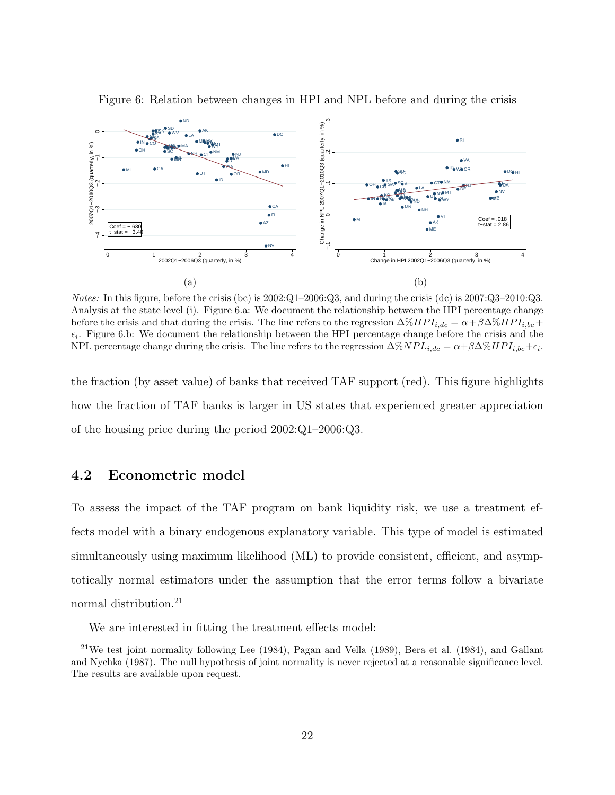

Figure 6: Relation between changes in HPI and NPL before and during the crisis

Notes: In this figure, before the crisis (bc) is 2002:Q1–2006:Q3, and during the crisis (dc) is 2007:Q3–2010:Q3. Analysis at the state level (i). Figure 6.a: We document the relationship between the HPI percentage change before the crisis and that during the crisis. The line refers to the regression  $\Delta\%HPI_{i,dc} = \alpha + \beta \Delta\%HPI_{i,bc} +$  $\epsilon_i$ . Figure 6.b: We document the relationship between the HPI percentage change before the crisis and the NPL percentage change during the crisis. The line refers to the regression  $\Delta\%NPL_{i,dc} = \alpha + \beta \Delta\%HPI_{i,bc} + \epsilon_i$ .

the fraction (by asset value) of banks that received TAF support (red). This figure highlights how the fraction of TAF banks is larger in US states that experienced greater appreciation of the housing price during the period 2002:Q1–2006:Q3.

#### 4.2 Econometric model

To assess the impact of the TAF program on bank liquidity risk, we use a treatment effects model with a binary endogenous explanatory variable. This type of model is estimated simultaneously using maximum likelihood (ML) to provide consistent, efficient, and asymptotically normal estimators under the assumption that the error terms follow a bivariate normal distribution.<sup>21</sup>

We are interested in fitting the treatment effects model:

<sup>21</sup>We test joint normality following Lee (1984), Pagan and Vella (1989), Bera et al. (1984), and Gallant and Nychka (1987). The null hypothesis of joint normality is never rejected at a reasonable significance level. The results are available upon request.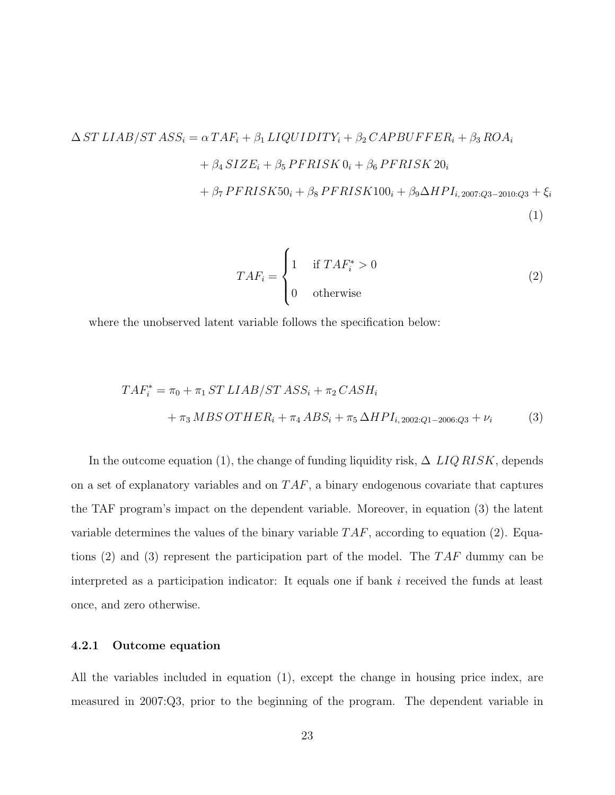$$
\Delta ST LIAB/STASS_i = \alpha TAF_i + \beta_1 LIQUIDITY_i + \beta_2 CAPBUFFER_i + \beta_3 ROA_i
$$
  
+ 
$$
\beta_4 SIZE_i + \beta_5 PFRISK0_i + \beta_6 PFRISK20_i
$$
  
+ 
$$
\beta_7 PFRISK50_i + \beta_8 PFRISK100_i + \beta_9 \Delta HPI_{i,2007:Q3-2010:Q3} + \xi_i
$$
  
(1)

$$
TAF_i = \begin{cases} 1 & \text{if } TAF_i^* > 0 \\ 0 & \text{otherwise} \end{cases}
$$
 (2)

where the unobserved latent variable follows the specification below:

$$
TAF_i^* = \pi_0 + \pi_1 ST\ LIAB/ST\ ASS_i + \pi_2 CASH_i
$$
  
+  $\pi_3 MBS\ OTHER_i + \pi_4 ABS_i + \pi_5 \ \Delta HPI_{i,2002:Q1-2006:Q3} + \nu_i$  (3)

In the outcome equation (1), the change of funding liquidity risk,  $\Delta LIQ RISK$ , depends on a set of explanatory variables and on  $TAF$ , a binary endogenous covariate that captures the TAF program's impact on the dependent variable. Moreover, in equation (3) the latent variable determines the values of the binary variable  $TAF$ , according to equation (2). Equations (2) and (3) represent the participation part of the model. The  $TAF$  dummy can be interpreted as a participation indicator: It equals one if bank i received the funds at least once, and zero otherwise.

#### 4.2.1 Outcome equation

All the variables included in equation (1), except the change in housing price index, are measured in 2007:Q3, prior to the beginning of the program. The dependent variable in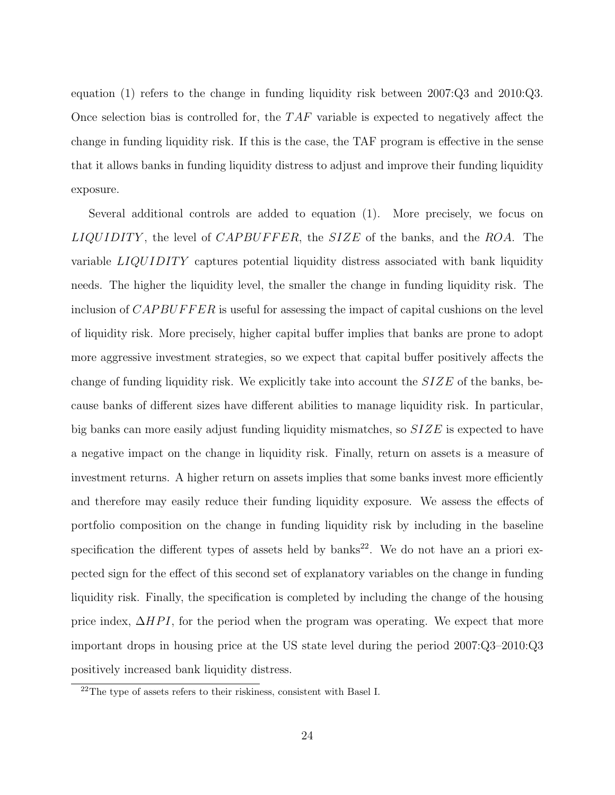equation (1) refers to the change in funding liquidity risk between 2007:Q3 and 2010:Q3. Once selection bias is controlled for, the  $TAF$  variable is expected to negatively affect the change in funding liquidity risk. If this is the case, the TAF program is effective in the sense that it allows banks in funding liquidity distress to adjust and improve their funding liquidity exposure.

Several additional controls are added to equation (1). More precisely, we focus on  $LIQUIDITY$ , the level of  $CAPBUFFER$ , the  $SIZE$  of the banks, and the ROA. The variable  $LIQUIDITY$  captures potential liquidity distress associated with bank liquidity needs. The higher the liquidity level, the smaller the change in funding liquidity risk. The inclusion of  $CAPBUFFER$  is useful for assessing the impact of capital cushions on the level of liquidity risk. More precisely, higher capital buffer implies that banks are prone to adopt more aggressive investment strategies, so we expect that capital buffer positively affects the change of funding liquidity risk. We explicitly take into account the  $SIZE$  of the banks, because banks of different sizes have different abilities to manage liquidity risk. In particular, big banks can more easily adjust funding liquidity mismatches, so SIZE is expected to have a negative impact on the change in liquidity risk. Finally, return on assets is a measure of investment returns. A higher return on assets implies that some banks invest more efficiently and therefore may easily reduce their funding liquidity exposure. We assess the effects of portfolio composition on the change in funding liquidity risk by including in the baseline specification the different types of assets held by  $banks^{22}$ . We do not have an a priori expected sign for the effect of this second set of explanatory variables on the change in funding liquidity risk. Finally, the specification is completed by including the change of the housing price index,  $\Delta HPI$ , for the period when the program was operating. We expect that more important drops in housing price at the US state level during the period 2007:Q3–2010:Q3 positively increased bank liquidity distress.

<sup>22</sup>The type of assets refers to their riskiness, consistent with Basel I.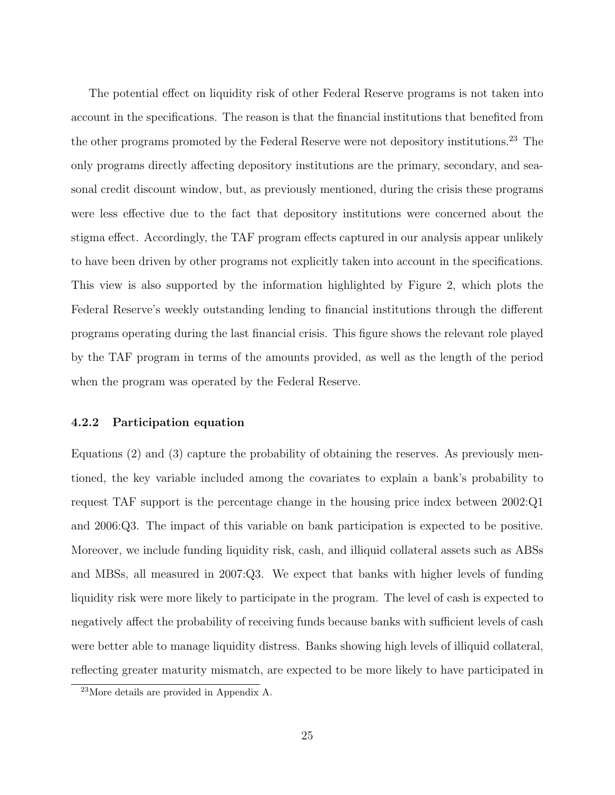The potential effect on liquidity risk of other Federal Reserve programs is not taken into account in the specifications. The reason is that the financial institutions that benefited from the other programs promoted by the Federal Reserve were not depository institutions.<sup>23</sup> The only programs directly affecting depository institutions are the primary, secondary, and seasonal credit discount window, but, as previously mentioned, during the crisis these programs were less effective due to the fact that depository institutions were concerned about the stigma effect. Accordingly, the TAF program effects captured in our analysis appear unlikely to have been driven by other programs not explicitly taken into account in the specifications. This view is also supported by the information highlighted by Figure 2, which plots the Federal Reserve's weekly outstanding lending to financial institutions through the different programs operating during the last financial crisis. This figure shows the relevant role played by the TAF program in terms of the amounts provided, as well as the length of the period when the program was operated by the Federal Reserve.

#### 4.2.2 Participation equation

Equations (2) and (3) capture the probability of obtaining the reserves. As previously mentioned, the key variable included among the covariates to explain a bank's probability to request TAF support is the percentage change in the housing price index between 2002:Q1 and 2006:Q3. The impact of this variable on bank participation is expected to be positive. Moreover, we include funding liquidity risk, cash, and illiquid collateral assets such as ABSs and MBSs, all measured in 2007:Q3. We expect that banks with higher levels of funding liquidity risk were more likely to participate in the program. The level of cash is expected to negatively affect the probability of receiving funds because banks with sufficient levels of cash were better able to manage liquidity distress. Banks showing high levels of illiquid collateral, reflecting greater maturity mismatch, are expected to be more likely to have participated in

<sup>23</sup>More details are provided in Appendix A.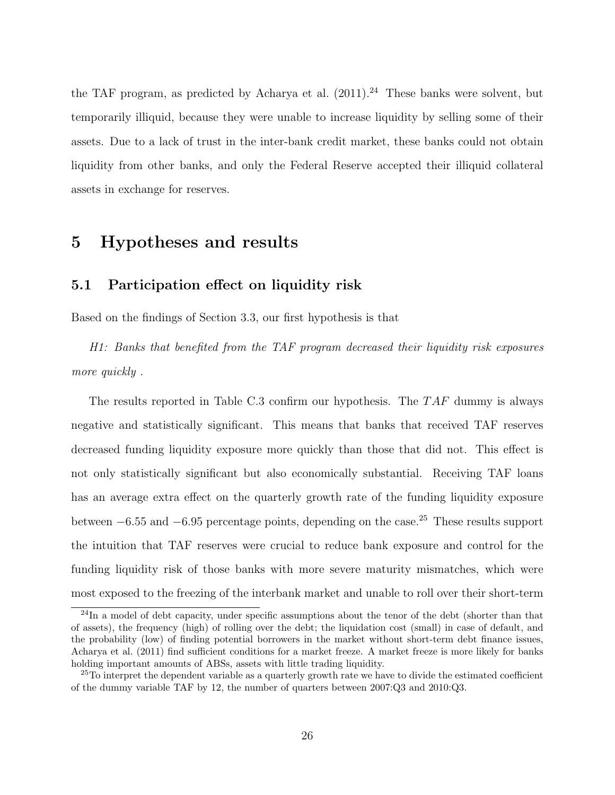the TAF program, as predicted by Acharya et al.  $(2011).^{24}$  These banks were solvent, but temporarily illiquid, because they were unable to increase liquidity by selling some of their assets. Due to a lack of trust in the inter-bank credit market, these banks could not obtain liquidity from other banks, and only the Federal Reserve accepted their illiquid collateral assets in exchange for reserves.

## 5 Hypotheses and results

## 5.1 Participation effect on liquidity risk

Based on the findings of Section 3.3, our first hypothesis is that

H1: Banks that benefited from the TAF program decreased their liquidity risk exposures more quickly .

The results reported in Table C.3 confirm our hypothesis. The  $TAF$  dummy is always negative and statistically significant. This means that banks that received TAF reserves decreased funding liquidity exposure more quickly than those that did not. This effect is not only statistically significant but also economically substantial. Receiving TAF loans has an average extra effect on the quarterly growth rate of the funding liquidity exposure between  $-6.55$  and  $-6.95$  percentage points, depending on the case.<sup>25</sup> These results support the intuition that TAF reserves were crucial to reduce bank exposure and control for the funding liquidity risk of those banks with more severe maturity mismatches, which were most exposed to the freezing of the interbank market and unable to roll over their short-term

 $^{24}$ In a model of debt capacity, under specific assumptions about the tenor of the debt (shorter than that of assets), the frequency (high) of rolling over the debt; the liquidation cost (small) in case of default, and the probability (low) of finding potential borrowers in the market without short-term debt finance issues, Acharya et al. (2011) find sufficient conditions for a market freeze. A market freeze is more likely for banks holding important amounts of ABSs, assets with little trading liquidity.

<sup>&</sup>lt;sup>25</sup>To interpret the dependent variable as a quarterly growth rate we have to divide the estimated coefficient of the dummy variable TAF by 12, the number of quarters between 2007:Q3 and 2010:Q3.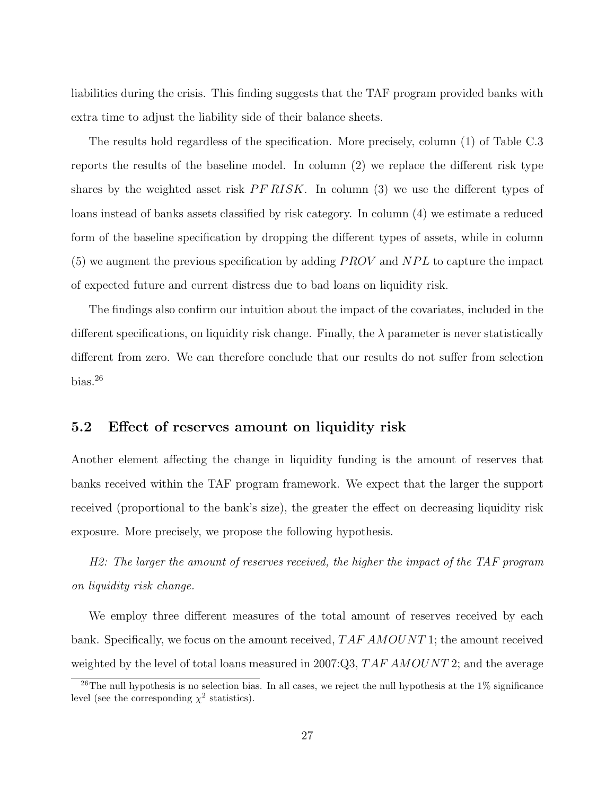liabilities during the crisis. This finding suggests that the TAF program provided banks with extra time to adjust the liability side of their balance sheets.

The results hold regardless of the specification. More precisely, column (1) of Table C.3 reports the results of the baseline model. In column (2) we replace the different risk type shares by the weighted asset risk  $PF RISK$ . In column (3) we use the different types of loans instead of banks assets classified by risk category. In column (4) we estimate a reduced form of the baseline specification by dropping the different types of assets, while in column  $(5)$  we augment the previous specification by adding  $PROV$  and  $NPL$  to capture the impact of expected future and current distress due to bad loans on liquidity risk.

The findings also confirm our intuition about the impact of the covariates, included in the different specifications, on liquidity risk change. Finally, the  $\lambda$  parameter is never statistically different from zero. We can therefore conclude that our results do not suffer from selection bias.<sup>26</sup>

### 5.2 Effect of reserves amount on liquidity risk

Another element affecting the change in liquidity funding is the amount of reserves that banks received within the TAF program framework. We expect that the larger the support received (proportional to the bank's size), the greater the effect on decreasing liquidity risk exposure. More precisely, we propose the following hypothesis.

H2: The larger the amount of reserves received, the higher the impact of the TAF program on liquidity risk change.

We employ three different measures of the total amount of reserves received by each bank. Specifically, we focus on the amount received, TAF AMOUNT 1; the amount received weighted by the level of total loans measured in 2007:Q3,  $TAFAMOUNT2$ ; and the average

<sup>&</sup>lt;sup>26</sup>The null hypothesis is no selection bias. In all cases, we reject the null hypothesis at the 1% significance level (see the corresponding  $\chi^2$  statistics).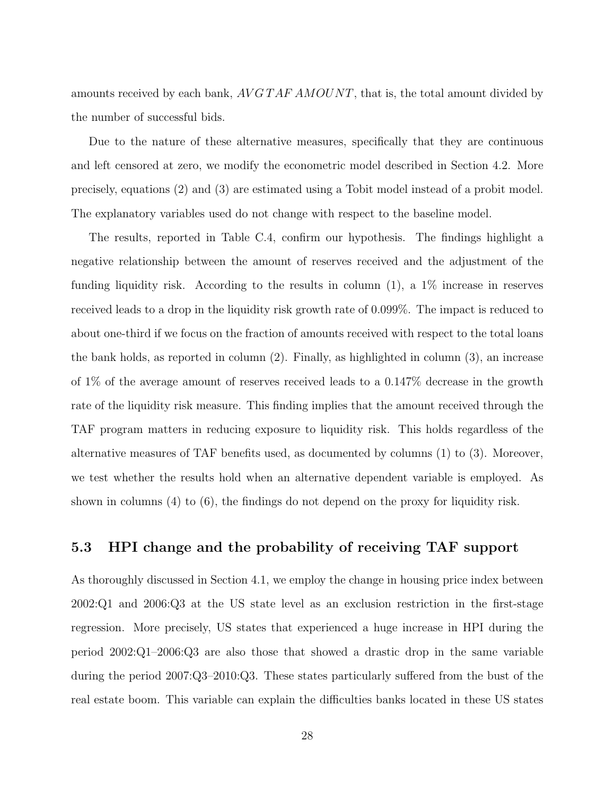amounts received by each bank,  $AVGTAFAMOUNT$ , that is, the total amount divided by the number of successful bids.

Due to the nature of these alternative measures, specifically that they are continuous and left censored at zero, we modify the econometric model described in Section 4.2. More precisely, equations (2) and (3) are estimated using a Tobit model instead of a probit model. The explanatory variables used do not change with respect to the baseline model.

The results, reported in Table C.4, confirm our hypothesis. The findings highlight a negative relationship between the amount of reserves received and the adjustment of the funding liquidity risk. According to the results in column (1), a 1% increase in reserves received leads to a drop in the liquidity risk growth rate of 0.099%. The impact is reduced to about one-third if we focus on the fraction of amounts received with respect to the total loans the bank holds, as reported in column (2). Finally, as highlighted in column (3), an increase of 1% of the average amount of reserves received leads to a 0.147% decrease in the growth rate of the liquidity risk measure. This finding implies that the amount received through the TAF program matters in reducing exposure to liquidity risk. This holds regardless of the alternative measures of TAF benefits used, as documented by columns (1) to (3). Moreover, we test whether the results hold when an alternative dependent variable is employed. As shown in columns (4) to (6), the findings do not depend on the proxy for liquidity risk.

## 5.3 HPI change and the probability of receiving TAF support

As thoroughly discussed in Section 4.1, we employ the change in housing price index between 2002:Q1 and 2006:Q3 at the US state level as an exclusion restriction in the first-stage regression. More precisely, US states that experienced a huge increase in HPI during the period 2002:Q1–2006:Q3 are also those that showed a drastic drop in the same variable during the period 2007:Q3–2010:Q3. These states particularly suffered from the bust of the real estate boom. This variable can explain the difficulties banks located in these US states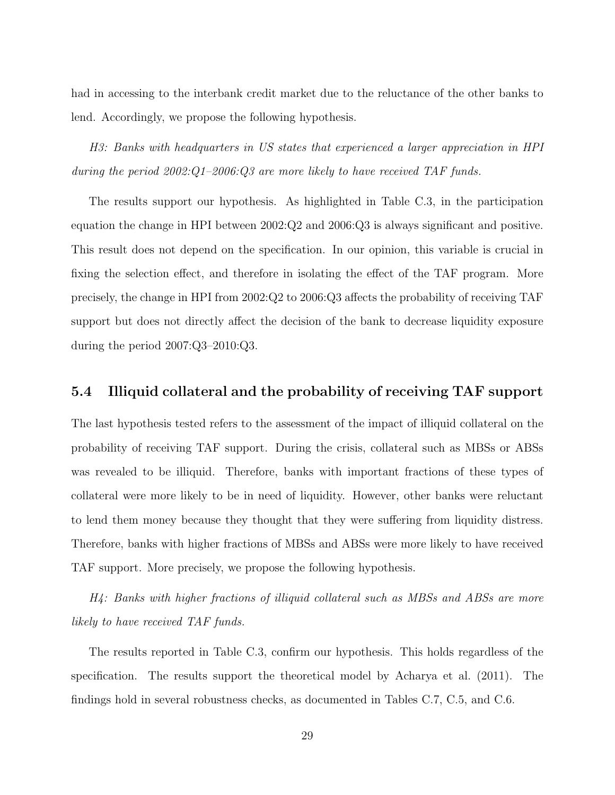had in accessing to the interbank credit market due to the reluctance of the other banks to lend. Accordingly, we propose the following hypothesis.

H3: Banks with headquarters in US states that experienced a larger appreciation in HPI during the period 2002:Q1–2006:Q3 are more likely to have received TAF funds.

The results support our hypothesis. As highlighted in Table C.3, in the participation equation the change in HPI between 2002:Q2 and 2006:Q3 is always significant and positive. This result does not depend on the specification. In our opinion, this variable is crucial in fixing the selection effect, and therefore in isolating the effect of the TAF program. More precisely, the change in HPI from 2002:Q2 to 2006:Q3 affects the probability of receiving TAF support but does not directly affect the decision of the bank to decrease liquidity exposure during the period 2007:Q3–2010:Q3.

### 5.4 Illiquid collateral and the probability of receiving TAF support

The last hypothesis tested refers to the assessment of the impact of illiquid collateral on the probability of receiving TAF support. During the crisis, collateral such as MBSs or ABSs was revealed to be illiquid. Therefore, banks with important fractions of these types of collateral were more likely to be in need of liquidity. However, other banks were reluctant to lend them money because they thought that they were suffering from liquidity distress. Therefore, banks with higher fractions of MBSs and ABSs were more likely to have received TAF support. More precisely, we propose the following hypothesis.

H4: Banks with higher fractions of illiquid collateral such as MBSs and ABSs are more likely to have received TAF funds.

The results reported in Table C.3, confirm our hypothesis. This holds regardless of the specification. The results support the theoretical model by Acharya et al. (2011). The findings hold in several robustness checks, as documented in Tables C.7, C.5, and C.6.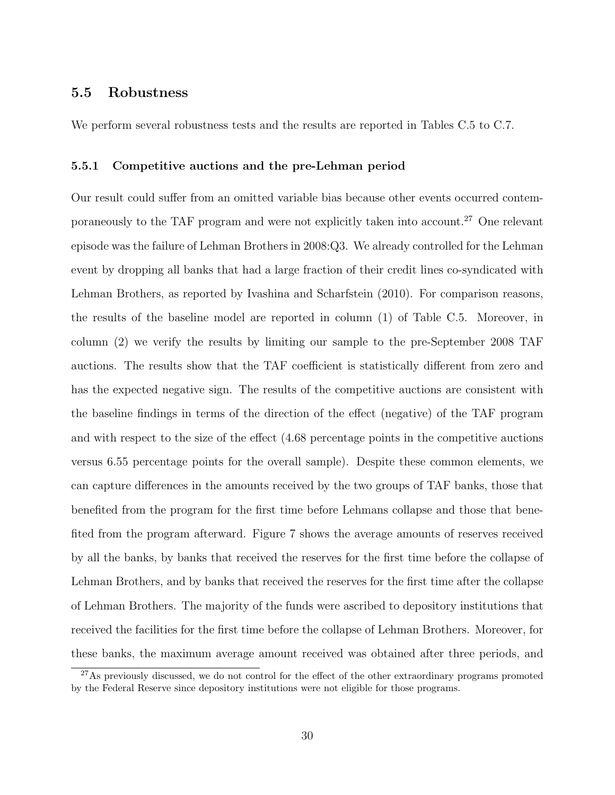### 5.5 Robustness

We perform several robustness tests and the results are reported in Tables C.5 to C.7.

#### 5.5.1 Competitive auctions and the pre-Lehman period

Our result could suffer from an omitted variable bias because other events occurred contemporaneously to the TAF program and were not explicitly taken into account.<sup>27</sup> One relevant episode was the failure of Lehman Brothers in 2008:Q3. We already controlled for the Lehman event by dropping all banks that had a large fraction of their credit lines co-syndicated with Lehman Brothers, as reported by Ivashina and Scharfstein (2010). For comparison reasons, the results of the baseline model are reported in column (1) of Table C.5. Moreover, in column (2) we verify the results by limiting our sample to the pre-September 2008 TAF auctions. The results show that the TAF coefficient is statistically different from zero and has the expected negative sign. The results of the competitive auctions are consistent with the baseline findings in terms of the direction of the effect (negative) of the TAF program and with respect to the size of the effect (4.68 percentage points in the competitive auctions versus 6.55 percentage points for the overall sample). Despite these common elements, we can capture differences in the amounts received by the two groups of TAF banks, those that benefited from the program for the first time before Lehmans collapse and those that benefited from the program afterward. Figure 7 shows the average amounts of reserves received by all the banks, by banks that received the reserves for the first time before the collapse of Lehman Brothers, and by banks that received the reserves for the first time after the collapse of Lehman Brothers. The majority of the funds were ascribed to depository institutions that received the facilities for the first time before the collapse of Lehman Brothers. Moreover, for these banks, the maximum average amount received was obtained after three periods, and

<sup>&</sup>lt;sup>27</sup>As previously discussed, we do not control for the effect of the other extraordinary programs promoted by the Federal Reserve since depository institutions were not eligible for those programs.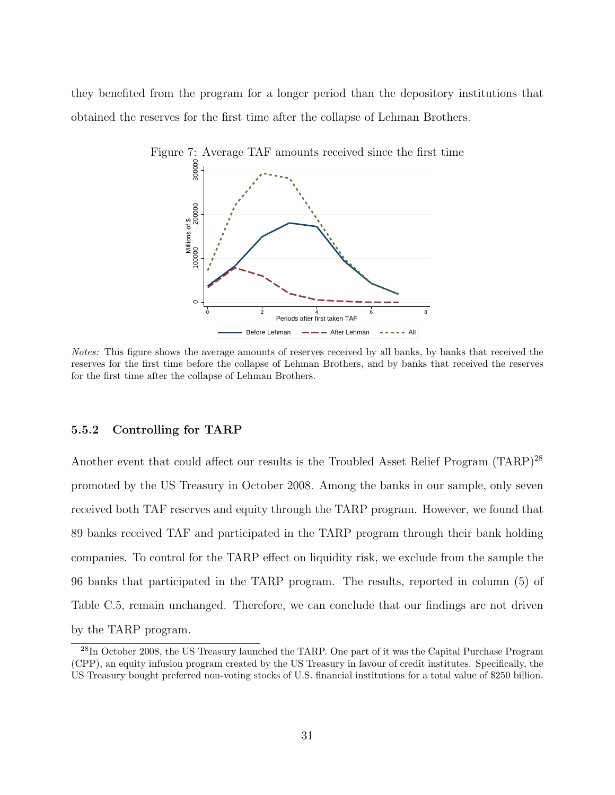they benefited from the program for a longer period than the depository institutions that obtained the reserves for the first time after the collapse of Lehman Brothers.



Notes: This figure shows the average amounts of reserves received by all banks, by banks that received the reserves for the first time before the collapse of Lehman Brothers, and by banks that received the reserves for the first time after the collapse of Lehman Brothers.

#### 5.5.2 Controlling for TARP

Another event that could affect our results is the Troubled Asset Relief Program (TARP)<sup>28</sup> promoted by the US Treasury in October 2008. Among the banks in our sample, only seven received both TAF reserves and equity through the TARP program. However, we found that 89 banks received TAF and participated in the TARP program through their bank holding companies. To control for the TARP effect on liquidity risk, we exclude from the sample the 96 banks that participated in the TARP program. The results, reported in column (5) of Table C.5, remain unchanged. Therefore, we can conclude that our findings are not driven by the TARP program.

<sup>&</sup>lt;sup>28</sup>In October 2008, the US Treasury launched the TARP. One part of it was the Capital Purchase Program (CPP), an equity infusion program created by the US Treasury in favour of credit institutes. Specifically, the US Treasury bought preferred non-voting stocks of U.S. financial institutions for a total value of \$250 billion.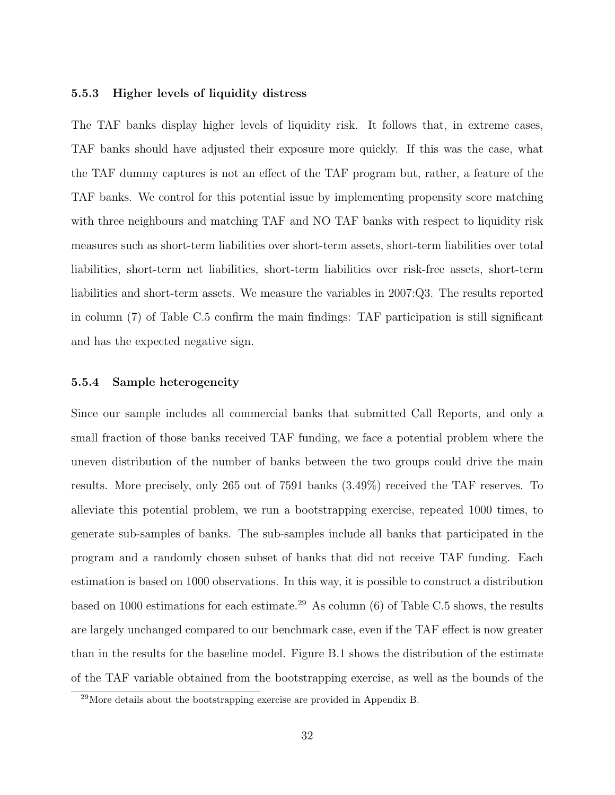#### 5.5.3 Higher levels of liquidity distress

The TAF banks display higher levels of liquidity risk. It follows that, in extreme cases, TAF banks should have adjusted their exposure more quickly. If this was the case, what the TAF dummy captures is not an effect of the TAF program but, rather, a feature of the TAF banks. We control for this potential issue by implementing propensity score matching with three neighbours and matching TAF and NO TAF banks with respect to liquidity risk measures such as short-term liabilities over short-term assets, short-term liabilities over total liabilities, short-term net liabilities, short-term liabilities over risk-free assets, short-term liabilities and short-term assets. We measure the variables in 2007:Q3. The results reported in column (7) of Table C.5 confirm the main findings: TAF participation is still significant and has the expected negative sign.

#### 5.5.4 Sample heterogeneity

Since our sample includes all commercial banks that submitted Call Reports, and only a small fraction of those banks received TAF funding, we face a potential problem where the uneven distribution of the number of banks between the two groups could drive the main results. More precisely, only 265 out of 7591 banks (3.49%) received the TAF reserves. To alleviate this potential problem, we run a bootstrapping exercise, repeated 1000 times, to generate sub-samples of banks. The sub-samples include all banks that participated in the program and a randomly chosen subset of banks that did not receive TAF funding. Each estimation is based on 1000 observations. In this way, it is possible to construct a distribution based on 1000 estimations for each estimate.<sup>29</sup> As column (6) of Table C.5 shows, the results are largely unchanged compared to our benchmark case, even if the TAF effect is now greater than in the results for the baseline model. Figure B.1 shows the distribution of the estimate of the TAF variable obtained from the bootstrapping exercise, as well as the bounds of the

 $^{29}$ More details about the bootstrapping exercise are provided in Appendix B.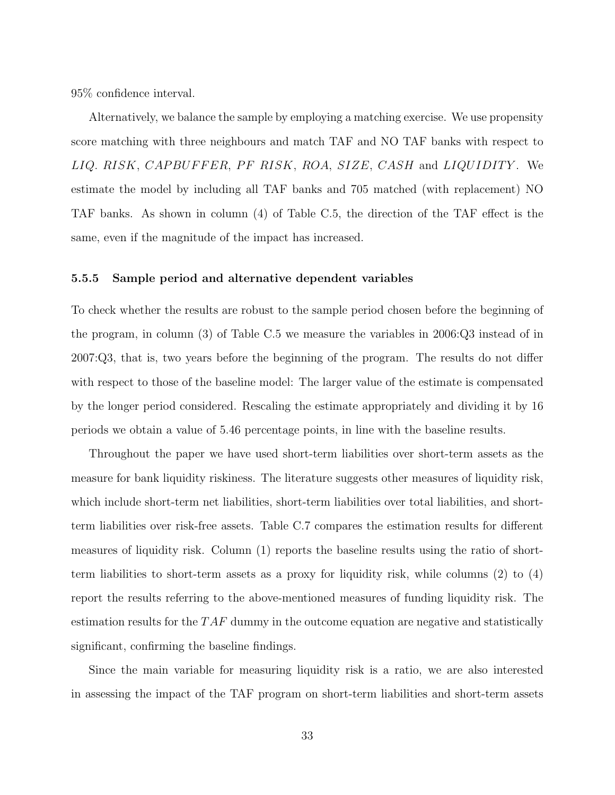95% confidence interval.

Alternatively, we balance the sample by employing a matching exercise. We use propensity score matching with three neighbours and match TAF and NO TAF banks with respect to LIQ. RISK, CAPBUFFER, PF RISK, ROA, SIZE, CASH and LIQUIDITY. We estimate the model by including all TAF banks and 705 matched (with replacement) NO TAF banks. As shown in column (4) of Table C.5, the direction of the TAF effect is the same, even if the magnitude of the impact has increased.

#### 5.5.5 Sample period and alternative dependent variables

To check whether the results are robust to the sample period chosen before the beginning of the program, in column (3) of Table C.5 we measure the variables in 2006:Q3 instead of in 2007:Q3, that is, two years before the beginning of the program. The results do not differ with respect to those of the baseline model: The larger value of the estimate is compensated by the longer period considered. Rescaling the estimate appropriately and dividing it by 16 periods we obtain a value of 5.46 percentage points, in line with the baseline results.

Throughout the paper we have used short-term liabilities over short-term assets as the measure for bank liquidity riskiness. The literature suggests other measures of liquidity risk, which include short-term net liabilities, short-term liabilities over total liabilities, and shortterm liabilities over risk-free assets. Table C.7 compares the estimation results for different measures of liquidity risk. Column (1) reports the baseline results using the ratio of shortterm liabilities to short-term assets as a proxy for liquidity risk, while columns (2) to (4) report the results referring to the above-mentioned measures of funding liquidity risk. The estimation results for the  $TAF$  dummy in the outcome equation are negative and statistically significant, confirming the baseline findings.

Since the main variable for measuring liquidity risk is a ratio, we are also interested in assessing the impact of the TAF program on short-term liabilities and short-term assets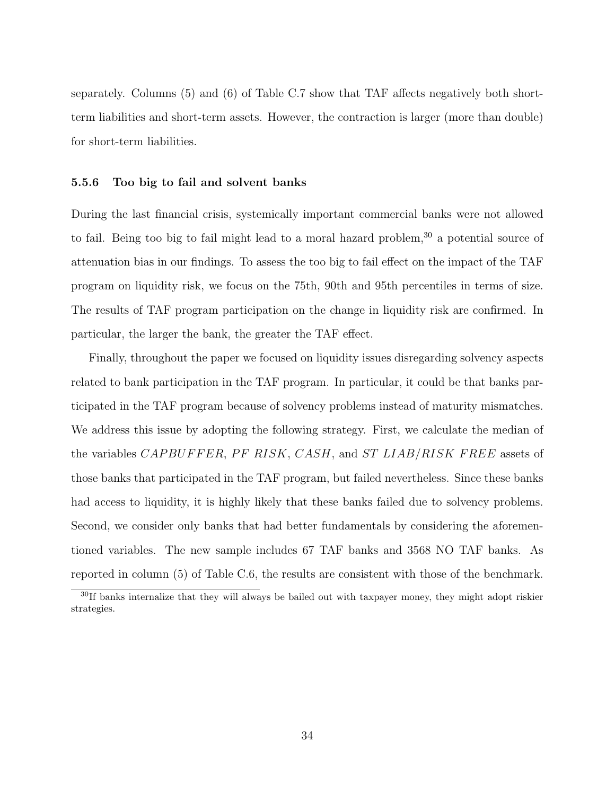separately. Columns (5) and (6) of Table C.7 show that TAF affects negatively both shortterm liabilities and short-term assets. However, the contraction is larger (more than double) for short-term liabilities.

#### 5.5.6 Too big to fail and solvent banks

During the last financial crisis, systemically important commercial banks were not allowed to fail. Being too big to fail might lead to a moral hazard problem, $30$  a potential source of attenuation bias in our findings. To assess the too big to fail effect on the impact of the TAF program on liquidity risk, we focus on the 75th, 90th and 95th percentiles in terms of size. The results of TAF program participation on the change in liquidity risk are confirmed. In particular, the larger the bank, the greater the TAF effect.

Finally, throughout the paper we focused on liquidity issues disregarding solvency aspects related to bank participation in the TAF program. In particular, it could be that banks participated in the TAF program because of solvency problems instead of maturity mismatches. We address this issue by adopting the following strategy. First, we calculate the median of the variables *CAPBUFFER*, PF RISK, *CASH*, and *ST LIAB*/*RISK FREE* assets of those banks that participated in the TAF program, but failed nevertheless. Since these banks had access to liquidity, it is highly likely that these banks failed due to solvency problems. Second, we consider only banks that had better fundamentals by considering the aforementioned variables. The new sample includes 67 TAF banks and 3568 NO TAF banks. As reported in column (5) of Table C.6, the results are consistent with those of the benchmark.

<sup>30</sup>If banks internalize that they will always be bailed out with taxpayer money, they might adopt riskier strategies.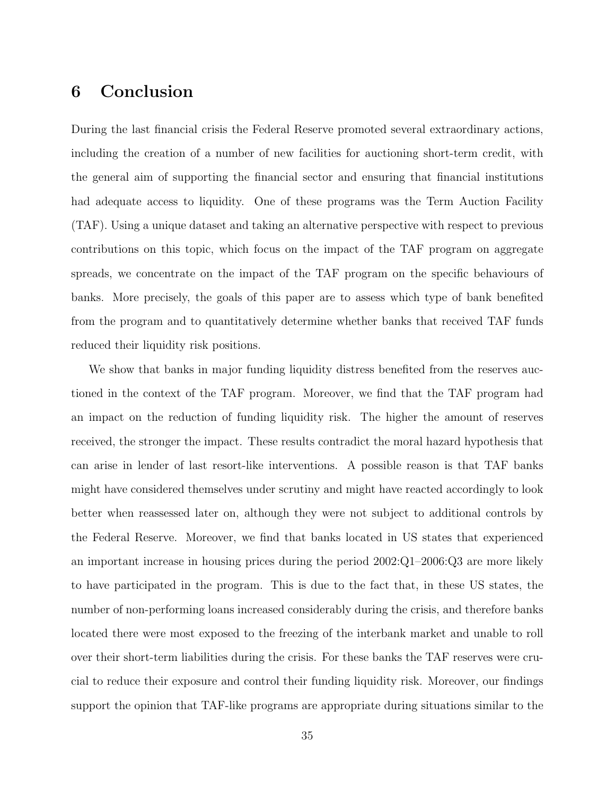# 6 Conclusion

During the last financial crisis the Federal Reserve promoted several extraordinary actions, including the creation of a number of new facilities for auctioning short-term credit, with the general aim of supporting the financial sector and ensuring that financial institutions had adequate access to liquidity. One of these programs was the Term Auction Facility (TAF). Using a unique dataset and taking an alternative perspective with respect to previous contributions on this topic, which focus on the impact of the TAF program on aggregate spreads, we concentrate on the impact of the TAF program on the specific behaviours of banks. More precisely, the goals of this paper are to assess which type of bank benefited from the program and to quantitatively determine whether banks that received TAF funds reduced their liquidity risk positions.

We show that banks in major funding liquidity distress benefited from the reserves auctioned in the context of the TAF program. Moreover, we find that the TAF program had an impact on the reduction of funding liquidity risk. The higher the amount of reserves received, the stronger the impact. These results contradict the moral hazard hypothesis that can arise in lender of last resort-like interventions. A possible reason is that TAF banks might have considered themselves under scrutiny and might have reacted accordingly to look better when reassessed later on, although they were not subject to additional controls by the Federal Reserve. Moreover, we find that banks located in US states that experienced an important increase in housing prices during the period 2002:Q1–2006:Q3 are more likely to have participated in the program. This is due to the fact that, in these US states, the number of non-performing loans increased considerably during the crisis, and therefore banks located there were most exposed to the freezing of the interbank market and unable to roll over their short-term liabilities during the crisis. For these banks the TAF reserves were crucial to reduce their exposure and control their funding liquidity risk. Moreover, our findings support the opinion that TAF-like programs are appropriate during situations similar to the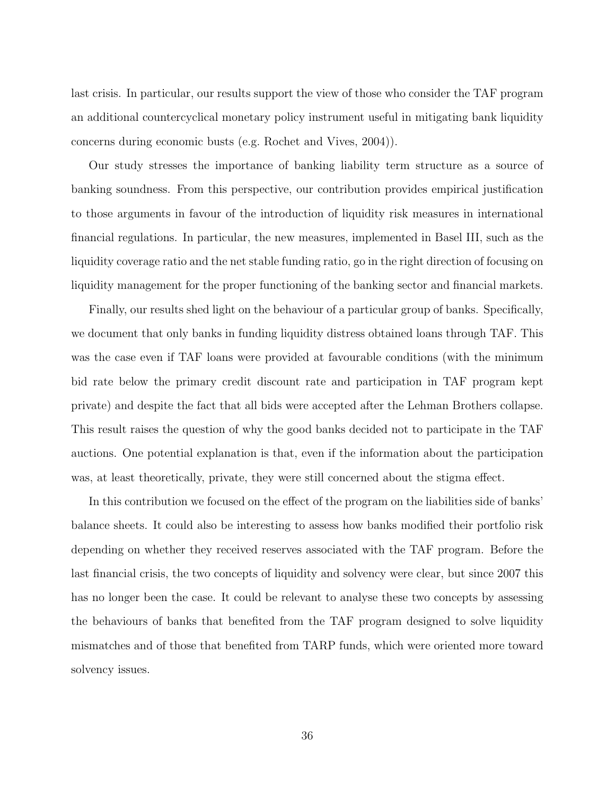last crisis. In particular, our results support the view of those who consider the TAF program an additional countercyclical monetary policy instrument useful in mitigating bank liquidity concerns during economic busts (e.g. Rochet and Vives, 2004)).

Our study stresses the importance of banking liability term structure as a source of banking soundness. From this perspective, our contribution provides empirical justification to those arguments in favour of the introduction of liquidity risk measures in international financial regulations. In particular, the new measures, implemented in Basel III, such as the liquidity coverage ratio and the net stable funding ratio, go in the right direction of focusing on liquidity management for the proper functioning of the banking sector and financial markets.

Finally, our results shed light on the behaviour of a particular group of banks. Specifically, we document that only banks in funding liquidity distress obtained loans through TAF. This was the case even if TAF loans were provided at favourable conditions (with the minimum bid rate below the primary credit discount rate and participation in TAF program kept private) and despite the fact that all bids were accepted after the Lehman Brothers collapse. This result raises the question of why the good banks decided not to participate in the TAF auctions. One potential explanation is that, even if the information about the participation was, at least theoretically, private, they were still concerned about the stigma effect.

In this contribution we focused on the effect of the program on the liabilities side of banks' balance sheets. It could also be interesting to assess how banks modified their portfolio risk depending on whether they received reserves associated with the TAF program. Before the last financial crisis, the two concepts of liquidity and solvency were clear, but since 2007 this has no longer been the case. It could be relevant to analyse these two concepts by assessing the behaviours of banks that benefited from the TAF program designed to solve liquidity mismatches and of those that benefited from TARP funds, which were oriented more toward solvency issues.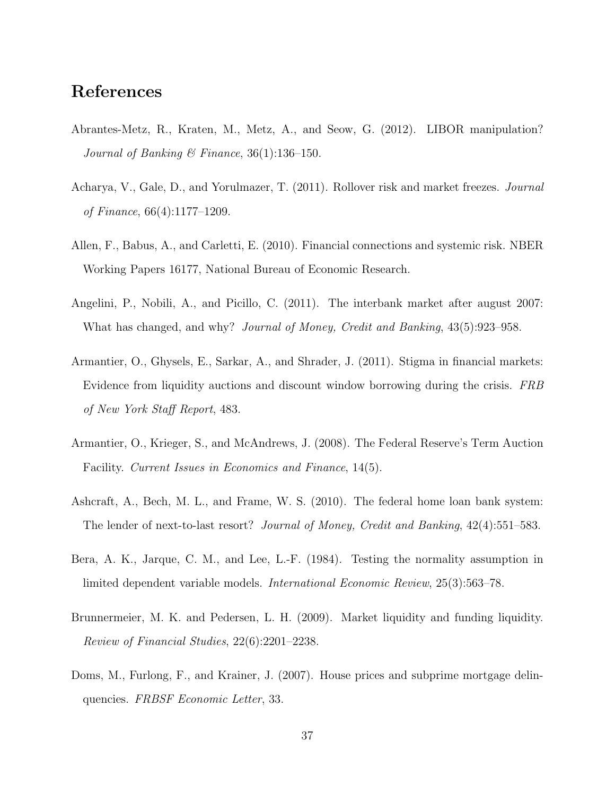# References

- Abrantes-Metz, R., Kraten, M., Metz, A., and Seow, G. (2012). LIBOR manipulation? Journal of Banking & Finance,  $36(1):136-150$ .
- Acharya, V., Gale, D., and Yorulmazer, T. (2011). Rollover risk and market freezes. Journal of Finance, 66(4):1177–1209.
- Allen, F., Babus, A., and Carletti, E. (2010). Financial connections and systemic risk. NBER Working Papers 16177, National Bureau of Economic Research.
- Angelini, P., Nobili, A., and Picillo, C. (2011). The interbank market after august 2007: What has changed, and why? Journal of Money, Credit and Banking, 43(5):923–958.
- Armantier, O., Ghysels, E., Sarkar, A., and Shrader, J. (2011). Stigma in financial markets: Evidence from liquidity auctions and discount window borrowing during the crisis. FRB of New York Staff Report, 483.
- Armantier, O., Krieger, S., and McAndrews, J. (2008). The Federal Reserve's Term Auction Facility. Current Issues in Economics and Finance, 14(5).
- Ashcraft, A., Bech, M. L., and Frame, W. S. (2010). The federal home loan bank system: The lender of next-to-last resort? Journal of Money, Credit and Banking, 42(4):551–583.
- Bera, A. K., Jarque, C. M., and Lee, L.-F. (1984). Testing the normality assumption in limited dependent variable models. International Economic Review, 25(3):563–78.
- Brunnermeier, M. K. and Pedersen, L. H. (2009). Market liquidity and funding liquidity. Review of Financial Studies, 22(6):2201–2238.
- Doms, M., Furlong, F., and Krainer, J. (2007). House prices and subprime mortgage delinquencies. FRBSF Economic Letter, 33.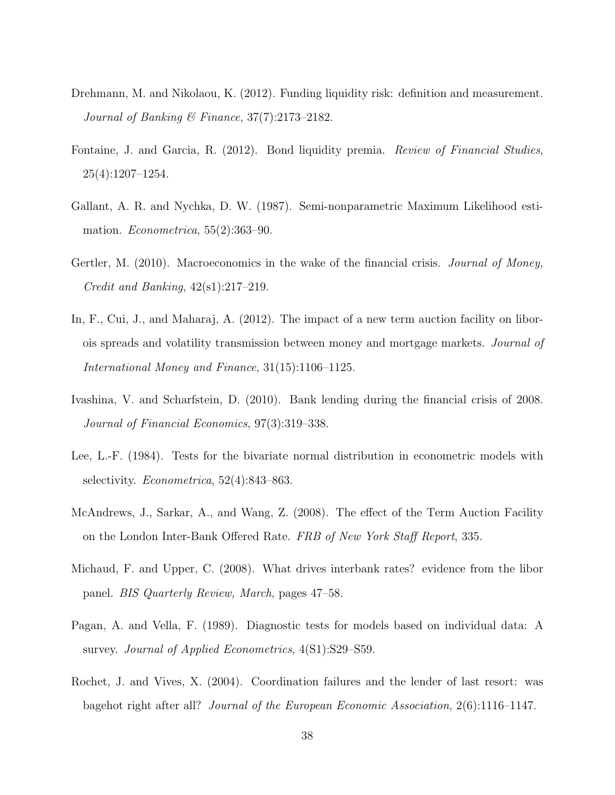- Drehmann, M. and Nikolaou, K. (2012). Funding liquidity risk: definition and measurement. Journal of Banking & Finance, 37(7):2173–2182.
- Fontaine, J. and Garcia, R. (2012). Bond liquidity premia. Review of Financial Studies, 25(4):1207–1254.
- Gallant, A. R. and Nychka, D. W. (1987). Semi-nonparametric Maximum Likelihood estimation. Econometrica, 55(2):363–90.
- Gertler, M. (2010). Macroeconomics in the wake of the financial crisis. *Journal of Money*, Credit and Banking,  $42(\text{s}1):217-219$ .
- In, F., Cui, J., and Maharaj, A. (2012). The impact of a new term auction facility on liborois spreads and volatility transmission between money and mortgage markets. Journal of International Money and Finance, 31(15):1106–1125.
- Ivashina, V. and Scharfstein, D. (2010). Bank lending during the financial crisis of 2008. Journal of Financial Economics, 97(3):319–338.
- Lee, L.-F. (1984). Tests for the bivariate normal distribution in econometric models with selectivity. Econometrica, 52(4):843–863.
- McAndrews, J., Sarkar, A., and Wang, Z. (2008). The effect of the Term Auction Facility on the London Inter-Bank Offered Rate. FRB of New York Staff Report, 335.
- Michaud, F. and Upper, C. (2008). What drives interbank rates? evidence from the libor panel. BIS Quarterly Review, March, pages 47–58.
- Pagan, A. and Vella, F. (1989). Diagnostic tests for models based on individual data: A survey. Journal of Applied Econometrics, 4(S1):S29–S59.
- Rochet, J. and Vives, X. (2004). Coordination failures and the lender of last resort: was bagehot right after all? Journal of the European Economic Association, 2(6):1116–1147.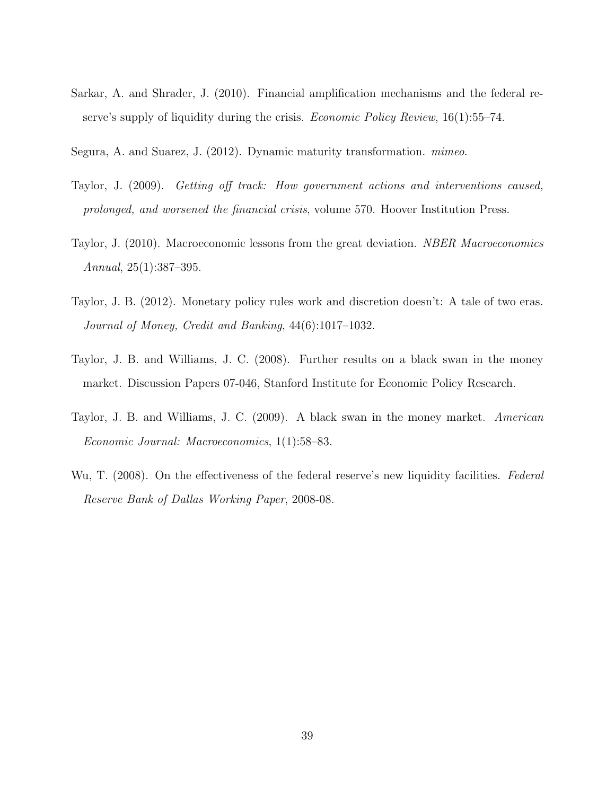Sarkar, A. and Shrader, J. (2010). Financial amplification mechanisms and the federal reserve's supply of liquidity during the crisis. Economic Policy Review, 16(1):55–74.

Segura, A. and Suarez, J. (2012). Dynamic maturity transformation. mimeo.

- Taylor, J. (2009). Getting off track: How government actions and interventions caused, prolonged, and worsened the financial crisis, volume 570. Hoover Institution Press.
- Taylor, J. (2010). Macroeconomic lessons from the great deviation. *NBER Macroeconomics* Annual, 25(1):387–395.
- Taylor, J. B. (2012). Monetary policy rules work and discretion doesn't: A tale of two eras. Journal of Money, Credit and Banking, 44(6):1017–1032.
- Taylor, J. B. and Williams, J. C. (2008). Further results on a black swan in the money market. Discussion Papers 07-046, Stanford Institute for Economic Policy Research.
- Taylor, J. B. and Williams, J. C. (2009). A black swan in the money market. American Economic Journal: Macroeconomics, 1(1):58–83.
- Wu, T. (2008). On the effectiveness of the federal reserve's new liquidity facilities. Federal Reserve Bank of Dallas Working Paper, 2008-08.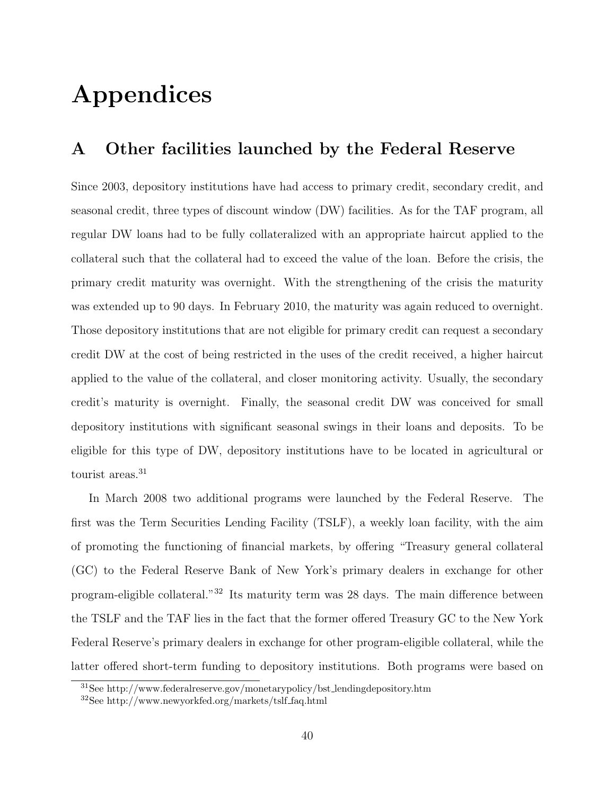# Appendices

## A Other facilities launched by the Federal Reserve

Since 2003, depository institutions have had access to primary credit, secondary credit, and seasonal credit, three types of discount window (DW) facilities. As for the TAF program, all regular DW loans had to be fully collateralized with an appropriate haircut applied to the collateral such that the collateral had to exceed the value of the loan. Before the crisis, the primary credit maturity was overnight. With the strengthening of the crisis the maturity was extended up to 90 days. In February 2010, the maturity was again reduced to overnight. Those depository institutions that are not eligible for primary credit can request a secondary credit DW at the cost of being restricted in the uses of the credit received, a higher haircut applied to the value of the collateral, and closer monitoring activity. Usually, the secondary credit's maturity is overnight. Finally, the seasonal credit DW was conceived for small depository institutions with significant seasonal swings in their loans and deposits. To be eligible for this type of DW, depository institutions have to be located in agricultural or tourist areas.<sup>31</sup>

In March 2008 two additional programs were launched by the Federal Reserve. The first was the Term Securities Lending Facility (TSLF), a weekly loan facility, with the aim of promoting the functioning of financial markets, by offering "Treasury general collateral (GC) to the Federal Reserve Bank of New York's primary dealers in exchange for other program-eligible collateral."<sup>32</sup> Its maturity term was 28 days. The main difference between the TSLF and the TAF lies in the fact that the former offered Treasury GC to the New York Federal Reserve's primary dealers in exchange for other program-eligible collateral, while the latter offered short-term funding to depository institutions. Both programs were based on

<sup>31</sup>See http://www.federalreserve.gov/monetarypolicy/bst lendingdepository.htm

<sup>32</sup>See http://www.newyorkfed.org/markets/tslf faq.html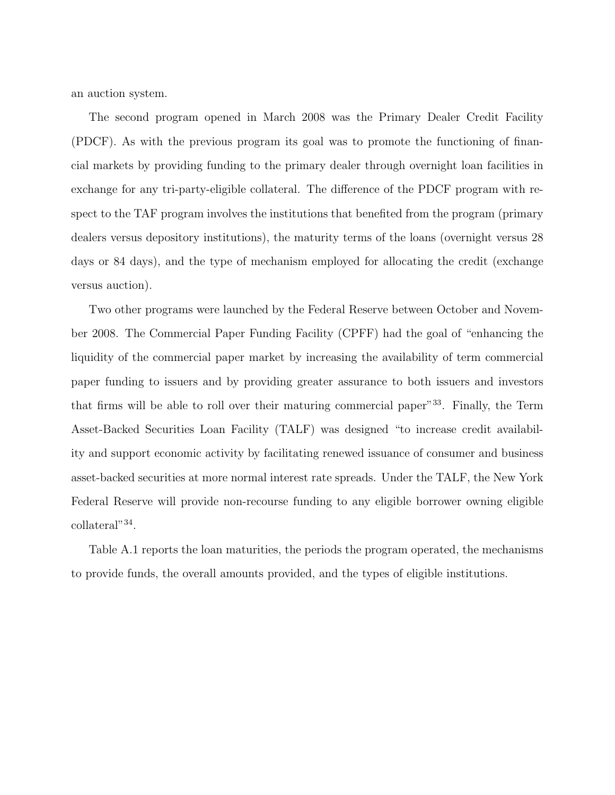an auction system.

The second program opened in March 2008 was the Primary Dealer Credit Facility (PDCF). As with the previous program its goal was to promote the functioning of financial markets by providing funding to the primary dealer through overnight loan facilities in exchange for any tri-party-eligible collateral. The difference of the PDCF program with respect to the TAF program involves the institutions that benefited from the program (primary dealers versus depository institutions), the maturity terms of the loans (overnight versus 28 days or 84 days), and the type of mechanism employed for allocating the credit (exchange versus auction).

Two other programs were launched by the Federal Reserve between October and November 2008. The Commercial Paper Funding Facility (CPFF) had the goal of "enhancing the liquidity of the commercial paper market by increasing the availability of term commercial paper funding to issuers and by providing greater assurance to both issuers and investors that firms will be able to roll over their maturing commercial paper"<sup>33</sup>. Finally, the Term Asset-Backed Securities Loan Facility (TALF) was designed "to increase credit availability and support economic activity by facilitating renewed issuance of consumer and business asset-backed securities at more normal interest rate spreads. Under the TALF, the New York Federal Reserve will provide non-recourse funding to any eligible borrower owning eligible collateral"<sup>34</sup> .

Table A.1 reports the loan maturities, the periods the program operated, the mechanisms to provide funds, the overall amounts provided, and the types of eligible institutions.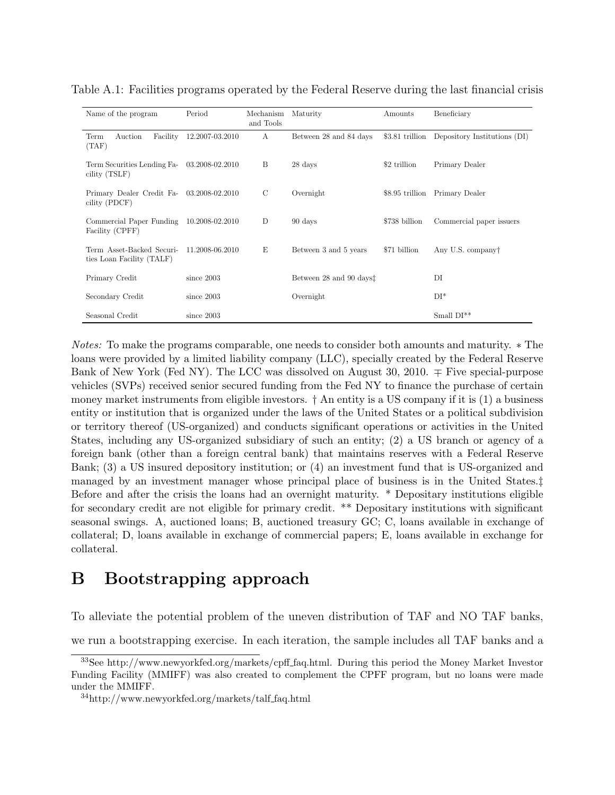| Name of the program                                          | Period                                       | Mechanism<br>and Tools | Maturity                                                | Amounts       | Beneficiary                                  |
|--------------------------------------------------------------|----------------------------------------------|------------------------|---------------------------------------------------------|---------------|----------------------------------------------|
| Facility<br>Term<br>Auction<br>(TAF)                         | 12.2007-03.2010                              | A                      | Between 28 and 84 days                                  |               | \$3.81 trillion Depository Institutions (DI) |
| Term Securities Lending Fa- 03.2008-02.2010<br>cility (TSLF) |                                              | B                      | 28 days                                                 | \$2 trillion  | Primary Dealer                               |
| Primary Dealer Credit Fa- 03.2008-02.2010<br>cility (PDCF)   |                                              | $\mathcal{C}$          | Overnight                                               |               | \$8.95 trillion Primary Dealer               |
| Commercial Paper Funding 10.2008-02.2010<br>Facility (CPFF)  |                                              | D                      | 90 days                                                 | \$738 billion | Commercial paper issuers                     |
| ties Loan Facility (TALF)                                    | Term Asset-Backed Securi-<br>11.2008-06.2010 |                        | \$71 billion<br>Between 3 and 5 years                   |               | Any U.S. company                             |
| Primary Credit                                               | since $2003$                                 |                        | Between 28 and 90 days <sup><math>\ddagger</math></sup> |               | DI                                           |
| Secondary Credit                                             | since $2003$                                 |                        | Overnight                                               |               | $DI^*$                                       |
| Seasonal Credit                                              | since $2003$                                 |                        |                                                         |               | Small $DI^{**}$                              |

Table A.1: Facilities programs operated by the Federal Reserve during the last financial crisis

Notes: To make the programs comparable, one needs to consider both amounts and maturity. ∗ The loans were provided by a limited liability company (LLC), specially created by the Federal Reserve Bank of New York (Fed NY). The LCC was dissolved on August 30, 2010.  $\mp$  Five special-purpose vehicles (SVPs) received senior secured funding from the Fed NY to finance the purchase of certain money market instruments from eligible investors.  $\dagger$  An entity is a US company if it is  $(1)$  a business entity or institution that is organized under the laws of the United States or a political subdivision or territory thereof (US-organized) and conducts significant operations or activities in the United States, including any US-organized subsidiary of such an entity; (2) a US branch or agency of a foreign bank (other than a foreign central bank) that maintains reserves with a Federal Reserve Bank; (3) a US insured depository institution; or (4) an investment fund that is US-organized and managed by an investment manager whose principal place of business is in the United States.‡ Before and after the crisis the loans had an overnight maturity. \* Depositary institutions eligible for secondary credit are not eligible for primary credit. \*\* Depositary institutions with significant seasonal swings. A, auctioned loans; B, auctioned treasury GC; C, loans available in exchange of collateral; D, loans available in exchange of commercial papers; E, loans available in exchange for collateral.

# B Bootstrapping approach

To alleviate the potential problem of the uneven distribution of TAF and NO TAF banks,

we run a bootstrapping exercise. In each iteration, the sample includes all TAF banks and a

<sup>33</sup>See http://www.newyorkfed.org/markets/cpff faq.html. During this period the Money Market Investor Funding Facility (MMIFF) was also created to complement the CPFF program, but no loans were made under the MMIFF.

<sup>34</sup>http://www.newyorkfed.org/markets/talf faq.html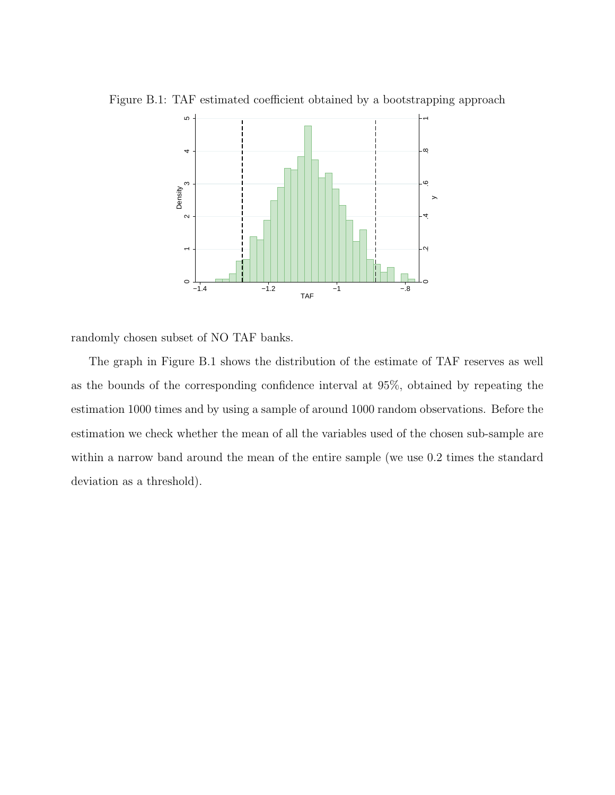

Figure B.1: TAF estimated coefficient obtained by a bootstrapping approach

randomly chosen subset of NO TAF banks.

The graph in Figure B.1 shows the distribution of the estimate of TAF reserves as well as the bounds of the corresponding confidence interval at 95%, obtained by repeating the estimation 1000 times and by using a sample of around 1000 random observations. Before the estimation we check whether the mean of all the variables used of the chosen sub-sample are within a narrow band around the mean of the entire sample (we use 0.2 times the standard deviation as a threshold).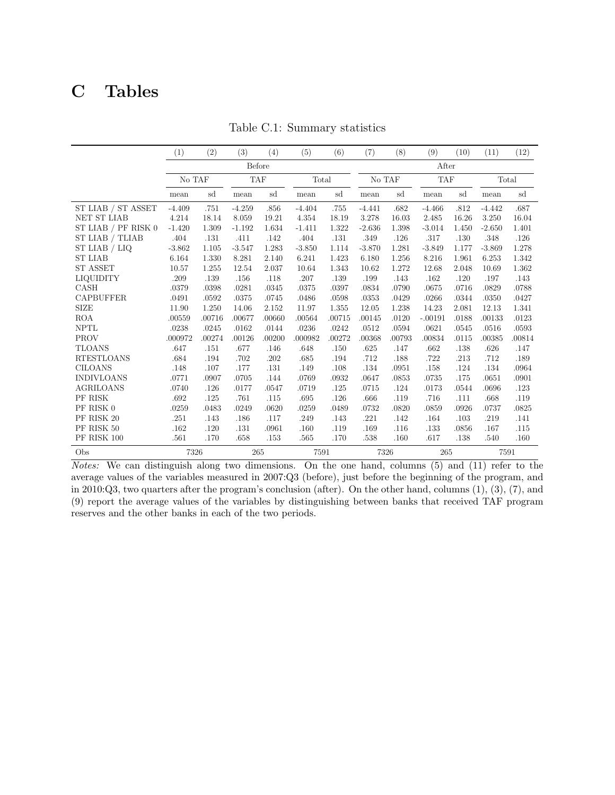# C Tables

|                       | (1)      | (2)    | (3)        | (4)    | (5)      | (6)    | (7)      | (8)    | (9)        | (10)  | (11)     | (12)   |
|-----------------------|----------|--------|------------|--------|----------|--------|----------|--------|------------|-------|----------|--------|
|                       |          | Before |            |        |          |        | After    |        |            |       |          |        |
|                       | No TAF   |        | <b>TAF</b> |        | Total    |        | No TAF   |        | <b>TAF</b> |       | Total    |        |
|                       | mean     | sd     | mean       | sd     | mean     | sd     | mean     | sd     | mean       | sd    | mean     | sd     |
| ST LIAB / ST ASSET    | $-4.409$ | .751   | $-4.259$   | .856   | $-4.404$ | .755   | $-4.441$ | .682   | $-4.466$   | .812  | $-4.442$ | .687   |
| <b>NET ST LIAB</b>    | 4.214    | 18.14  | 8.059      | 19.21  | 4.354    | 18.19  | 3.278    | 16.03  | 2.485      | 16.26 | 3.250    | 16.04  |
| ST LIAB $/$ PF RISK 0 | $-1.420$ | 1.309  | $-1.192$   | 1.634  | $-1.411$ | 1.322  | $-2.636$ | 1.398  | $-3.014$   | 1.450 | $-2.650$ | 1.401  |
| ST LIAB / TLIAB       | .404     | .131   | .411       | .142   | .404     | .131   | .349     | .126   | .317       | .130  | .348     | .126   |
| ST LIAB / LIQ         | $-3.862$ | 1.105  | $-3.547$   | 1.283  | $-3.850$ | 1.114  | $-3.870$ | 1.281  | $-3.849$   | 1.177 | $-3.869$ | 1.278  |
| <b>ST LIAB</b>        | 6.164    | 1.330  | 8.281      | 2.140  | 6.241    | 1.423  | 6.180    | 1.256  | 8.216      | 1.961 | 6.253    | 1.342  |
| <b>ST ASSET</b>       | 10.57    | 1.255  | 12.54      | 2.037  | 10.64    | 1.343  | 10.62    | 1.272  | 12.68      | 2.048 | 10.69    | 1.362  |
| <b>LIQUIDITY</b>      | .209     | .139   | .156       | .118   | .207     | .139   | .199     | .143   | .162       | .120  | .197     | .143   |
| CASH                  | .0379    | .0398  | .0281      | .0345  | .0375    | .0397  | .0834    | .0790  | .0675      | .0716 | .0829    | .0788  |
| <b>CAPBUFFER</b>      | .0491    | .0592  | .0375      | .0745  | .0486    | .0598  | .0353    | .0429  | .0266      | .0344 | .0350    | .0427  |
| <b>SIZE</b>           | 11.90    | 1.250  | 14.06      | 2.152  | 11.97    | 1.355  | 12.05    | 1.238  | 14.23      | 2.081 | 12.13    | 1.341  |
| <b>ROA</b>            | .00559   | .00716 | .00677     | .00660 | .00564   | .00715 | .00145   | .0120  | $-.00191$  | .0188 | .00133   | .0123  |
| <b>NPTL</b>           | .0238    | .0245  | .0162      | .0144  | .0236    | .0242  | .0512    | .0594  | .0621      | .0545 | .0516    | .0593  |
| <b>PROV</b>           | .000972  | .00274 | .00126     | .00200 | .000982  | .00272 | .00368   | .00793 | .00834     | .0115 | .00385   | .00814 |
| <b>TLOANS</b>         | .647     | .151   | .677       | .146   | .648     | .150   | .625     | .147   | .662       | .138  | .626     | .147   |
| <b>RTESTLOANS</b>     | .684     | .194   | .702       | .202   | .685     | .194   | .712     | .188   | .722       | .213  | .712     | .189   |
| <b>CILOANS</b>        | .148     | .107   | .177       | .131   | .149     | .108   | .134     | .0951  | .158       | .124  | .134     | .0964  |
| <b>INDIVLOANS</b>     | .0771    | .0907  | .0705      | .144   | .0769    | .0932  | .0647    | .0853  | .0735      | .175  | .0651    | .0901  |
| <b>AGRILOANS</b>      | .0740    | .126   | .0177      | .0547  | .0719    | .125   | .0715    | .124   | .0173      | .0544 | .0696    | .123   |
| PF RISK               | .692     | .125   | .761       | .115   | .695     | .126   | .666     | .119   | .716       | .111  | .668     | .119   |
| PF RISK 0             | .0259    | .0483  | .0249      | .0620  | .0259    | .0489  | .0732    | .0820  | .0859      | .0926 | .0737    | .0825  |
| PF RISK 20            | .251     | .143   | .186       | .117   | .249     | .143   | .221     | .142   | .164       | .103  | .219     | .141   |
| PF RISK 50            | .162     | .120   | .131       | .0961  | .160     | .119   | .169     | .116   | .133       | .0856 | .167     | .115   |
| PF RISK 100           | .561     | .170   | .658       | .153   | .565     | .170   | .538     | .160   | .617       | .138  | .540     | .160   |
| Obs                   | 7326     |        |            | 265    | 7591     |        | 7326     |        | 265        |       | 7591     |        |

Table C.1: Summary statistics

Notes: We can distinguish along two dimensions. On the one hand, columns (5) and (11) refer to the average values of the variables measured in 2007:Q3 (before), just before the beginning of the program, and in 2010:Q3, two quarters after the program's conclusion (after). On the other hand, columns (1), (3), (7), and (9) report the average values of the variables by distinguishing between banks that received TAF program reserves and the other banks in each of the two periods.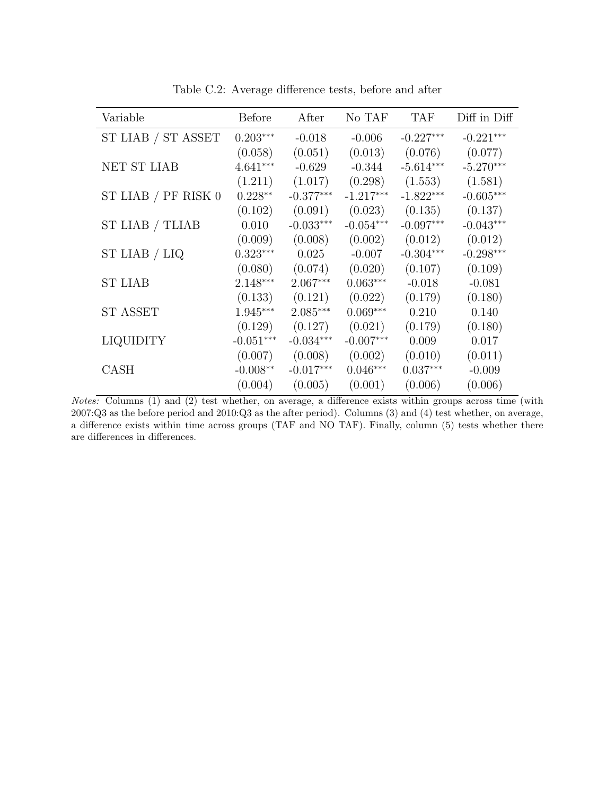| Variable              | <b>Before</b> | After       | No TAF      | <b>TAF</b>  | Diff in Diff |
|-----------------------|---------------|-------------|-------------|-------------|--------------|
| ST LIAB / ST ASSET    | $0.203***$    | $-0.018$    | $-0.006$    | $-0.227***$ | $-0.221***$  |
|                       | (0.058)       | (0.051)     | (0.013)     | (0.076)     | (0.077)      |
| NET ST LIAB           | $4.641***$    | $-0.629$    | $-0.344$    | $-5.614***$ | $-5.270***$  |
|                       | (1.211)       | (1.017)     | (0.298)     | (1.553)     | (1.581)      |
| ST LIAB $/$ PF RISK 0 | $0.228**$     | $-0.377***$ | $-1.217***$ | $-1.822***$ | $-0.605***$  |
|                       | (0.102)       | (0.091)     | (0.023)     | (0.135)     | (0.137)      |
| ST LIAB / TLIAB       | 0.010         | $-0.033***$ | $-0.054***$ | $-0.097***$ | $-0.043***$  |
|                       | (0.009)       | (0.008)     | (0.002)     | (0.012)     | (0.012)      |
| $ST$ LIAB $/$ LIQ     | $0.323***$    | 0.025       | $-0.007$    | $-0.304***$ | $-0.298***$  |
|                       | (0.080)       | (0.074)     | (0.020)     | (0.107)     | (0.109)      |
| <b>ST LIAB</b>        | $2.148***$    | $2.067***$  | $0.063***$  | $-0.018$    | $-0.081$     |
|                       | (0.133)       | (0.121)     | (0.022)     | (0.179)     | (0.180)      |
| <b>ST ASSET</b>       | 1.945***      | $2.085***$  | $0.069***$  | 0.210       | 0.140        |
|                       | (0.129)       | (0.127)     | (0.021)     | (0.179)     | (0.180)      |
| <b>LIQUIDITY</b>      | $-0.051***$   | $-0.034***$ | $-0.007***$ | 0.009       | 0.017        |
|                       | (0.007)       | (0.008)     | (0.002)     | (0.010)     | (0.011)      |
| CASH                  | $-0.008**$    | $-0.017***$ | $0.046***$  | $0.037***$  | $-0.009$     |
|                       | (0.004)       | (0.005)     | (0.001)     | (0.006)     | (0.006)      |

Table C.2: Average difference tests, before and after

Notes: Columns (1) and (2) test whether, on average, a difference exists within groups across time (with 2007:Q3 as the before period and 2010:Q3 as the after period). Columns (3) and (4) test whether, on average, a difference exists within time across groups (TAF and NO TAF). Finally, column (5) tests whether there are differences in differences.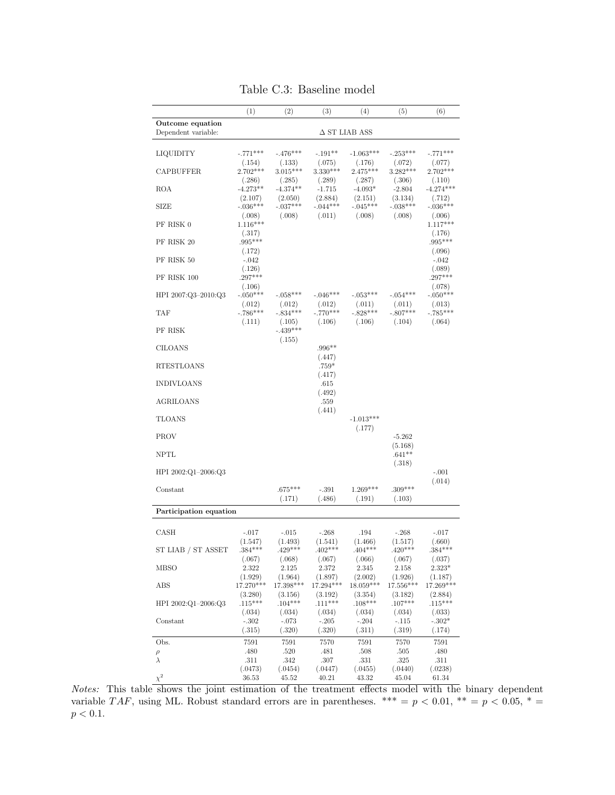|                        | (1)                  | (2)                  | (3)                  | (4)                  | (5)                  | (6)                   |
|------------------------|----------------------|----------------------|----------------------|----------------------|----------------------|-----------------------|
| Outcome equation       |                      |                      |                      |                      |                      |                       |
| Dependent variable:    |                      |                      |                      | $\Delta$ ST LIAB ASS |                      |                       |
|                        | $-.771***$           | $-.476***$           |                      | $-1.063***$          |                      |                       |
| LIQUIDITY              | (.154)               | (.133)               | $-.191**$<br>(.075)  | (.176)               | $-.253***$<br>(.072) | -.771***<br>(.077)    |
| <b>CAPBUFFER</b>       | $2.702***$           | $3.015***$           | $3.330***$           | $2.475***$           | $3.282***$           | $2.702***$            |
| ROA                    | (.286)<br>$-4.273**$ | (.285)<br>$-4.374**$ | (.289)<br>$-1.715$   | (.287)<br>$-4.093*$  | (.306)<br>$-2.804$   | (.110)<br>$-4.274***$ |
|                        | (2.107)              | (2.050)              | (2.884)              | (2.151)              | (3.134)              | (.712)                |
| <b>SIZE</b>            | $-.036***$           | $-.037***$           | $-.044***$           | $-.045***$           | $-.038***$           | $-.036***$            |
| PF RISK 0              | (.008)<br>$1.116***$ | (.008)               | (.011)               | (.008)               | (.008)               | (.006)<br>$1.117***$  |
|                        | (.317)               |                      |                      |                      |                      | (.176)                |
| PF RISK 20             | .995***              |                      |                      |                      |                      | $.995***$             |
| PF RISK 50             | (.172)<br>$-.042$    |                      |                      |                      |                      | (.096)<br>$-.042$     |
|                        | (.126)               |                      |                      |                      |                      | (.089)                |
| PF RISK 100            | $.297***$<br>(.106)  |                      |                      |                      |                      | $.297***$<br>(.078)   |
| HPI 2007:Q3-2010:Q3    | $-.050***$           | $-.058***$           | $-.046***$           | $-.053***$           | $-.054***$           | $-.050***$            |
| TAF                    | (.012)<br>$-.786***$ | (.012)<br>$-.834***$ | (.012)<br>$-.770***$ | (.011)<br>$-.828***$ | (.011)<br>$-.807***$ | (.013)<br>$-.785***$  |
|                        | (.111)               | (.105)               | (.106)               | (.106)               | (.104)               | (.064)                |
| PF RISK                |                      | $-.439***$           |                      |                      |                      |                       |
| <b>CILOANS</b>         |                      | (.155)               | $.996**$             |                      |                      |                       |
|                        |                      |                      | (.447)               |                      |                      |                       |
| <b>RTESTLOANS</b>      |                      |                      | $.759*$              |                      |                      |                       |
| <b>INDIVLOANS</b>      |                      |                      | (.417)<br>.615       |                      |                      |                       |
|                        |                      |                      | (.492)               |                      |                      |                       |
| <b>AGRILOANS</b>       |                      |                      | .559<br>(.441)       |                      |                      |                       |
| <b>TLOANS</b>          |                      |                      |                      | $-1.013***$          |                      |                       |
|                        |                      |                      |                      | (.177)               |                      |                       |
| <b>PROV</b>            |                      |                      |                      |                      | $-5.262$<br>(5.168)  |                       |
| <b>NPTL</b>            |                      |                      |                      |                      | $.641**$             |                       |
|                        |                      |                      |                      |                      | (.318)               |                       |
| HPI 2002:Q1-2006:Q3    |                      |                      |                      |                      |                      | $-.001$<br>(.014)     |
| Constant               |                      | $.675***$            | $-.391$              | 1.269***             | $.309***$            |                       |
|                        |                      | (.171)               | (.486)               | (.191)               | (.103)               |                       |
| Participation equation |                      |                      |                      |                      |                      |                       |
| CASH                   | $-.017$              | $-.015$              | $-268$               | .194                 | $-.268$              | $-.017$               |
|                        | (1.547)              | (1.493)              | (1.541)              | (1.466)              | (1.517)              | (.660)                |
| ST LIAB / ST ASSET     | $.384***$            | $429***$             | 402***               | $.404***$            | $420***$             | $.384***$             |
| MBSO                   | (.067)<br>2.322      | (.068)<br>2.125      | (.067)<br>2.372      | (.066)<br>2.345      | (.067)<br>2.158      | (.037)<br>$2.323*$    |
|                        | (1.929)              | (1.964)              | (1.897)              | (2.002)              | (1.926)              | (1.187)               |
| ABS                    | 17.270***            | 17.398***<br>(3.156) | 17.294***<br>(3.192) | $18.059***$          | 17.556***<br>(3.182) | 17.269***<br>(2.884)  |
| HPI 2002:Q1-2006:Q3    | (3.280)<br>$.115***$ | $.104***$            | $.111***$            | (3.354)<br>$.108***$ | $.107***$            | $.115***$             |
|                        | (.034)               | (.034)               | (.034)               | (.034)               | (.034)               | (.033)                |
| Constant               | $-302$<br>(.315)     | $-.073$<br>(.320)    | $-.205$<br>(.320)    | $-.204$<br>(.311)    | $-.115$<br>(.319)    | $-.302*$<br>(.174)    |
| Obs.                   | 7591                 | 7591                 | 7570                 | 7591                 | 7570                 | 7591                  |
| $\rho$                 | .480                 | .520                 | .481                 | .508                 | .505                 | .480                  |
| $\lambda$              | .311                 | .342                 | .307                 | .331                 | .325                 | .311                  |
| $\chi^2$               | (.0473)<br>36.53     | (.0454)<br>45.52     | (.0447)<br>40.21     | (.0455)<br>43.32     | (.0440)<br>45.04     | (.0238)<br>61.34      |

Table C.3: Baseline model

Notes: This table shows the joint estimation of the treatment effects model with the binary dependent variable TAF, using ML. Robust standard errors are in parentheses. \*\*\* =  $p < 0.01$ , \*\* =  $p < 0.05$ , \* =  $p < 0.1.$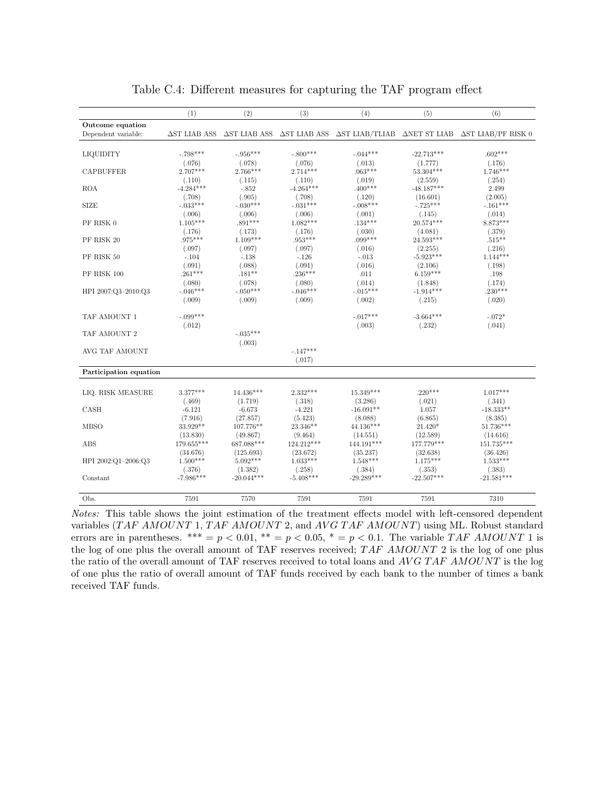|                        | (1)                  | (2)                  | (3)                  | (4)                    | (5)                    | (6)                                                                                                              |
|------------------------|----------------------|----------------------|----------------------|------------------------|------------------------|------------------------------------------------------------------------------------------------------------------|
| Outcome equation       |                      |                      |                      |                        |                        |                                                                                                                  |
| Dependent variable:    | $\Delta$ ST LIAB ASS |                      |                      |                        |                        | $\Delta$ ST LIAB ASS $\Delta$ ST LIAB ASS $\Delta$ ST LIAB/TLIAB $\Delta$ NET ST LIAB $\Delta$ ST LIAB/PF RISK 0 |
|                        |                      |                      |                      |                        |                        |                                                                                                                  |
| LIQUIDITY              | $-.798***$           | $-.956***$           | $-.800***$           | $-.044***$             | $-22.713***$           | $.602***$                                                                                                        |
|                        | (.076)               | (.078)               | (.076)               | (.013)                 | (1.777)                | (.176)                                                                                                           |
| <b>CAPBUFFER</b>       | $2.707***$           | $2.766***$           | $2.714***$           | $.063***$              | 53.304***              | $1.746***$                                                                                                       |
|                        | (.110)               | (.115)               | (.110)               | (.019)                 | (2.559)                | (.254)                                                                                                           |
| <b>ROA</b>             | $-4.284***$          | $-.852$              | $-4.264***$          | $.400***$              | $-48.187***$           | 2.499                                                                                                            |
| <b>SIZE</b>            | (.708)<br>$-.033***$ | (.905)<br>$-.030***$ | (.708)<br>$-.031***$ | (.120)<br>$-.008***$   | (16.601)<br>$-.725***$ | (2.005)<br>$-.161***$                                                                                            |
|                        | (.006)               | (.006)               | (.006)               | (.001)                 | (.145)                 | (.014)                                                                                                           |
| PF RISK 0              | $1.105***$           | $.891***$            | $1.082***$           | $.134***$              | 20.574***              | $8.873***$                                                                                                       |
|                        | (.176)               | (.173)               | (.176)               | (.030)                 | (4.081)                | (.379)                                                                                                           |
| PF RISK 20             | $.975***$            | $1.109***$           | $.953***$            | $.099***$              | 24.593***              | $.515***$                                                                                                        |
|                        | (.097)               | (.097)               | (.097)               | (.016)                 | (2.255)                | (.216)                                                                                                           |
| PF RISK 50             | $-.104$              | $-.138$              | $-.126$              | $-.013$                | $-5.923***$            | $1.144***$                                                                                                       |
|                        | (.091)               | (.088)               | (.091)               | (.016)                 | (2.106)                | (.198)                                                                                                           |
| PF RISK 100            | $.261***$            | $.181**$             | $.236***$            | .011                   | $6.159***$             | .198                                                                                                             |
|                        | (.080)               | (.078)               | (.080)               | (.014)                 | (1.848)                | (.174)                                                                                                           |
| HPI 2007:Q3-2010:Q3    | $-.046***$           | $-.050***$           | $-.046***$           | $-.015***$             | $-1.914***$            | $.230***$                                                                                                        |
|                        | (.009)               | (.009)               | (.009)               | (.002)                 | (.215)                 | (.020)                                                                                                           |
| TAF AMOUNT 1           | $-.099***$           |                      |                      | $-.017***$             | $-3.664***$            | $-.072*$                                                                                                         |
|                        | (.012)               |                      |                      | (.003)                 | (.232)                 | (.041)                                                                                                           |
| TAF AMOUNT 2           |                      | $-.035***$           |                      |                        |                        |                                                                                                                  |
|                        |                      | (.003)               |                      |                        |                        |                                                                                                                  |
| AVG TAF AMOUNT         |                      |                      | $-.147***$           |                        |                        |                                                                                                                  |
|                        |                      |                      | (.017)               |                        |                        |                                                                                                                  |
| Participation equation |                      |                      |                      |                        |                        |                                                                                                                  |
|                        |                      |                      |                      |                        |                        |                                                                                                                  |
| LIQ. RISK MEASURE      | $3.377***$           | 14.436***            | $2.332***$           | $15.349***$            | $.220***$              | $1.017***$                                                                                                       |
| CASH                   | (.469)<br>$-6.121$   | (1.719)<br>$-6.673$  | (.318)<br>$-4.221$   | (3.286)<br>$-16.091**$ | (.021)<br>1.057        | (.341)<br>$-18.333**$                                                                                            |
|                        | (7.916)              | (27.857)             | (5.423)              | (8.088)                | (6.865)                | (8.385)                                                                                                          |
| <b>MBSO</b>            | 33.929**             | 107.776**            | 23.346**             | 44.136***              | 21.420*                | 51.736***                                                                                                        |
|                        | (13.830)             | (49.867)             | (9.464)              | (14.551)               | (12.589)               | (14.616)                                                                                                         |
| ABS                    | 179.655***           | 687.088***           | 124.212***           | 144.191***             | 177.779***             | $151.735***$                                                                                                     |
|                        | (34.676)             | (125.693)            | (23.672)             | (35.237)               | (32.638)               | (36.426)                                                                                                         |
| HPI 2002:Q1-2006:Q3    | $1.500***$           | $5.092***$           | $1.033***$           | $1.548***$             | $1.175***$             | $1.533***$                                                                                                       |
|                        | (.376)               | (1.382)              | (.258)               | (.384)                 | (.353)                 | (.383)                                                                                                           |
| Constant               | $-7.986***$          | $-20.044***$         | $-5.408***$          | $-29.289***$           | $-22.507***$           | $-21.581***$                                                                                                     |
| Obs.                   | 7591                 | 7570                 | 7591                 | 7591                   | 7591                   | 7310                                                                                                             |
|                        |                      |                      |                      |                        |                        |                                                                                                                  |

Table C.4: Different measures for capturing the TAF program effect

Notes: This table shows the joint estimation of the treatment effects model with left-censored dependent variables (TAF AMOUNT 1, TAF AMOUNT 2, and AVG TAF AMOUNT) using ML. Robust standard errors are in parentheses. \*\*\* =  $p < 0.01$ , \*\* =  $p < 0.05$ , \* =  $p < 0.1$ . The variable TAF AMOUNT 1 is the log of one plus the overall amount of TAF reserves received; TAF AMOUNT 2 is the log of one plus the ratio of the overall amount of TAF reserves received to total loans and  $AVG\ TAF\ AMOUNT$  is the log of one plus the ratio of overall amount of TAF funds received by each bank to the number of times a bank received TAF funds.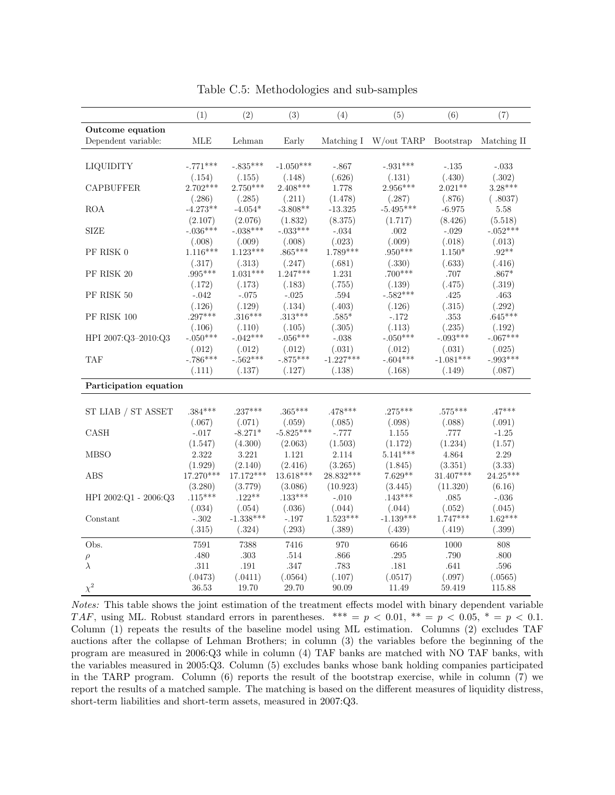|                        | (1)                    | (2)                    | (3)                    | (4)                       | (5)                   | (6)                    | (7)                  |
|------------------------|------------------------|------------------------|------------------------|---------------------------|-----------------------|------------------------|----------------------|
| Outcome equation       |                        |                        |                        |                           |                       |                        |                      |
| Dependent variable:    | MLE                    | Lehman                 | Early                  | Matching I                | W/out TARP            | Bootstrap              | Matching II          |
|                        |                        |                        |                        |                           |                       |                        |                      |
| <b>LIQUIDITY</b>       | $-.771***$             | $-.835***$             | $-1.050***$            | $-.867$                   | $-.931***$            | $-.135$                | $-.033$              |
|                        | (.154)                 | (.155)                 | (.148)                 | (.626)                    | (.131)                | (.430)                 | (.302)               |
| <b>CAPBUFFER</b>       | $2.702***$             | $2.750***$             | 2.408***               | 1.778                     | 2.956***              | $2.021**$              | $3.28***$            |
|                        | (.286)                 | (.285)                 | (.211)                 | (1.478)                   | (.287)                | (.876)                 | (.8037)              |
| <b>ROA</b>             | $-4.273**$             | $-4.054*$              | $-3.808**$             | $-13.325$                 | $-5.495***$           | $-6.975$               | 5.58                 |
|                        | (2.107)                | (2.076)                | (1.832)                | (8.375)                   | (1.717)               | (8.426)                | (5.518)              |
| <b>SIZE</b>            | $-.036***$             | $-.038***$             | $-.033***$             | $-.034$                   | $.002\,$              | $-.029$                | $-.052***$           |
|                        | (.008)                 | (.009)                 | (.008)                 | (.023)                    | (.009)                | (.018)                 | (.013)               |
| PF RISK 0              | $1.116***$             | $1.123***$             | $.865***$              | $1.789***$                | $.950***$             | $1.150*$               | $.92**$              |
|                        | (.317)                 | (.313)                 | (.247)                 | (.681)                    | (.330)                | (.633)                 | (.416)               |
| PF RISK 20             | $.995***$              | $1.031***$             | $1.247***$             | 1.231                     | $.700***$             | $.707\,$               | $.867*$              |
|                        | (.172)                 | (.173)                 | (.183)                 | (.755)                    | (.139)                | (.475)                 | (.319)               |
| PF RISK 50             | $-.042$                | $-.075$                | $-.025$                | .594                      | $-.582***$            | .425                   | $.463\,$             |
|                        | (.126)                 | (.129)                 | (.134)                 | (.403)                    | (.126)                | (.315)                 | (.292)               |
| PF RISK 100            | $.297***$              | $.316***$              | $.313***$              | $.585*$                   | $-.172$               | .353                   | $.645***$            |
|                        | (.106)                 | (.110)                 | (.105)                 | (.305)                    | (.113)                | (.235)                 | (.192)               |
| HPI 2007:Q3-2010:Q3    | $-.050***$             | $-.042***$             | $-.056***$             | $-.038$                   | $-.050***$            | $-.093***$             | $-.067***$           |
|                        | (.012)                 | (.012)                 | (.012)                 | (.031)                    | (.012)                | (.031)                 | (.025)               |
| TAF                    | $-786***$              | $-.562***$             | $-.875***$             | $-1.227***$               | $-.604***$            | $-1.081***$            | $-.993***$           |
|                        | (.111)                 | (.137)                 | (.127)                 | (.138)                    | (.168)                | (.149)                 | (.087)               |
| Participation equation |                        |                        |                        |                           |                       |                        |                      |
|                        |                        |                        |                        |                           |                       |                        |                      |
| ST LIAB / ST ASSET     | $.384***$              | $.237***$              | $.365***$              | $.478***$                 | $.275***$             | $.575***$              | $.47***$             |
|                        |                        |                        |                        |                           |                       |                        |                      |
| CASH                   | (.067)                 | (.071)<br>$-8.271*$    | (.059)<br>$-5.825***$  | (.085)<br>$-.777$         | (.098)                | (.088)<br>.777         | (.091)               |
|                        | $-.017$                |                        |                        |                           | 1.155                 |                        | $-1.25$              |
| <b>MBSO</b>            | (1.547)<br>2.322       | (4.300)<br>3.221       | (2.063)<br>1.121       | (1.503)<br>2.114          | (1.172)<br>$5.141***$ | (1.234)<br>4.864       | (1.57)<br>2.29       |
|                        |                        |                        |                        |                           |                       |                        |                      |
| <b>ABS</b>             | (1.929)<br>$17.270***$ | (2.140)<br>$17.172***$ | (2.416)<br>$13.618***$ | (3.265)<br>28.832***      | (1.845)<br>$7.629**$  | (3.351)<br>$31.407***$ | (3.33)<br>$24.25***$ |
|                        |                        |                        |                        |                           |                       |                        |                      |
|                        | (3.280)<br>$.115***$   | (3.779)<br>$.122**$    | (3.086)<br>$.133***$   | (10.923)                  | (3.445)<br>$.143***$  | (11.320)               | (6.16)               |
| HPI 2002:Q1 - 2006:Q3  |                        |                        |                        | $-.010$                   |                       | .085                   | $-0.36\,$            |
|                        | (.034)<br>$-.302$      | (.054)<br>$-1.338***$  | (.036)                 | (.044)<br>$1.523^{***}\,$ | (.044)<br>$-1.139***$ | (.052)<br>1.747***     | (.045)<br>$1.62***$  |
| Constant               |                        |                        | $-.197$                |                           |                       |                        |                      |
|                        | (.315)                 | (.324)                 | (.293)                 | (.389)                    | (.439)                | (.419)                 | (.399)               |
| Obs.                   | 7591                   | 7388                   | 7416                   | 970                       | 6646                  | 1000                   | 808                  |
| $\rho$                 | .480                   | $.303\,$               | .514                   | .866                      | .295                  | .790                   | .800                 |
| $\lambda$              | .311                   | .191                   | .347                   | .783                      | .181                  | .641                   | .596                 |
|                        | (.0473)                | (.0411)                | (.0564)                | (.107)                    | (.0517)               | (.097)                 | (.0565)              |
| $\chi^2$               | 36.53                  | 19.70                  | 29.70                  | 90.09                     | 11.49                 | 59.419                 | 115.88               |

Table C.5: Methodologies and sub-samples

Notes: This table shows the joint estimation of the treatment effects model with binary dependent variable TAF, using ML. Robust standard errors in parentheses. \*\*\* =  $p < 0.01$ , \*\* =  $p < 0.05$ , \* =  $p < 0.1$ . Column (1) repeats the results of the baseline model using ML estimation. Columns (2) excludes TAF auctions after the collapse of Lehman Brothers; in column (3) the variables before the beginning of the program are measured in 2006:Q3 while in column (4) TAF banks are matched with NO TAF banks, with the variables measured in 2005:Q3. Column (5) excludes banks whose bank holding companies participated in the TARP program. Column (6) reports the result of the bootstrap exercise, while in column (7) we report the results of a matched sample. The matching is based on the different measures of liquidity distress, short-term liabilities and short-term assets, measured in 2007:Q3.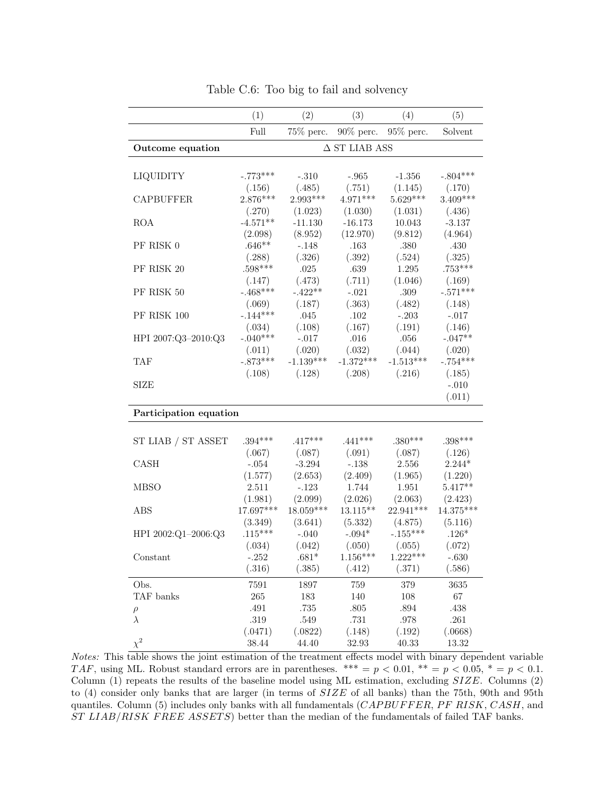|                        | (1)                  | (2)                    | (3)                   | (4)                   | (5)                    |
|------------------------|----------------------|------------------------|-----------------------|-----------------------|------------------------|
|                        | Full                 | 75% perc.              | $90\%$ perc.          | 95% perc.             | Solvent                |
| Outcome equation       |                      |                        | $\Delta$ ST LIAB ASS  |                       |                        |
|                        |                      |                        |                       |                       |                        |
| LIQUIDITY              | $-.773***$           | $-.310$                | $-.965$               | $-1.356$              | $-.804***$             |
|                        | (.156)               | (.485)                 | (.751)                | (1.145)               | (.170)                 |
| <b>CAPBUFFER</b>       | $2.876***$           | 2.993***               | $4.971***$            | $5.629***$            | $3.409***$             |
|                        | (.270)               | (1.023)                | (1.030)               | (1.031)               | (.436)                 |
| <b>ROA</b>             | $-4.571**$           | $-11.130$              | $-16.173$             | 10.043                | $-3.137$               |
|                        | (2.098)              | (8.952)                | (12.970)              | (9.812)               | (4.964)                |
| PF RISK 0              | $.646**$             | $-.148$                | .163                  | .380                  | .430                   |
|                        | (.288)               | (.326)                 | (.392)                | (.524)                | (.325)                 |
| PF RISK 20             | $.598***$            | $.025\,$               | $.639\,$              | 1.295                 | $.753***$              |
|                        | (.147)               | (.473)                 | (.711)                | (1.046)               | (.169)                 |
| PF RISK 50             | $-.468***$           | $-.422**$              | $-.021$               | .309                  | $-.571***$             |
|                        | (.069)               | (.187)                 | (.363)                | (.482)                | (.148)                 |
| PF RISK 100            | $-.144***$           | .045                   | .102                  | $-.203$               | $-.017$                |
|                        | (.034)               | (.108)                 | (.167)                | (.191)                | (.146)                 |
| HPI 2007:Q3-2010:Q3    | $-.040***$           | $-.017$                | .016                  | .056                  | $-.047**$              |
|                        | (.011)               | (.020)                 | (.032)                | (.044)                | (.020)                 |
| <b>TAF</b>             | $-.873***$           | $-1.139***$            | $-1.372***$           | $-1.513***$           | $-.754***$             |
|                        | (.108)               | (.128)                 | (.208)                | (.216)                | (.185)                 |
| <b>SIZE</b>            |                      |                        |                       |                       | $-.010$                |
|                        |                      |                        |                       |                       | (.011)                 |
| Participation equation |                      |                        |                       |                       |                        |
|                        |                      |                        |                       |                       |                        |
| ST LIAB / ST ASSET     | $.394***$            | $.417***$              | $.441***$             | $.380***$             | $.398***$              |
|                        | (.067)               | (.087)                 | (.091)                | (.087)                | (.126)                 |
| CASH                   | $-.054$              | $-3.294$               | $-.138$               | 2.556                 | $2.244*$               |
|                        | (1.577)              | (2.653)                | (2.409)               | (1.965)               | (1.220)                |
| <b>MBSO</b>            | 2.511                | $-.123$                | 1.744                 | 1.951                 | $5.417**$              |
|                        | (1.981)<br>17.697*** | (2.099)<br>$18.059***$ | (2.026)<br>$13.115**$ | (2.063)<br>22.941***  | (2.423)<br>$14.375***$ |
| ABS                    |                      | (3.641)                | (5.332)               |                       |                        |
| HPI 2002:Q1-2006:Q3    | (3.349)<br>$.115***$ | $-.040$                | $-.094*$              | (4.875)<br>$-.155***$ | (5.116)<br>$.126*$     |
|                        | (.034)               | (.042)                 | (.050)                | (.055)                | (.072)                 |
| Constant               | $-.252$              | $.681*$                | $1.156***$            | $1.222***$            | $-.630$                |
|                        | (.316)               | (.385)                 | (.412)                | (.371)                | (.586)                 |
|                        |                      |                        |                       |                       |                        |
| Obs.                   | 7591                 | 1897                   | 759                   | 379                   | 3635                   |
| TAF banks              | 265                  | 183                    | 140                   | $108\,$               | $67\,$                 |
| $\rho$                 | .491                 | .735                   | $.805\,$              | $.894\,$              | .438                   |
| $\lambda$              | .319                 | $.549\,$               | .731                  | $.978\,$              | .261                   |
| $\chi^2$               | (.0471)<br>38.44     | (.0822)<br>44.40       | (.148)                | (.192)                | (.0668)                |
|                        |                      |                        | 32.93                 | 40.33                 | 13.32                  |

Table C.6: Too big to fail and solvency

Notes: This table shows the joint estimation of the treatment effects model with binary dependent variable TAF, using ML. Robust standard errors are in parentheses. \*\*\* =  $p < 0.01$ , \*\* =  $p < 0.05$ , \* =  $p < 0.1$ . Column  $(1)$  repeats the results of the baseline model using ML estimation, excluding  $SIZE$ . Columns  $(2)$ to (4) consider only banks that are larger (in terms of SIZE of all banks) than the 75th, 90th and 95th quantiles. Column (5) includes only banks with all fundamentals  $(CAPBUFFER, PF RISK, CASH, and$ ST LIAB/RISK FREE ASSETS) better than the median of the fundamentals of failed TAF banks.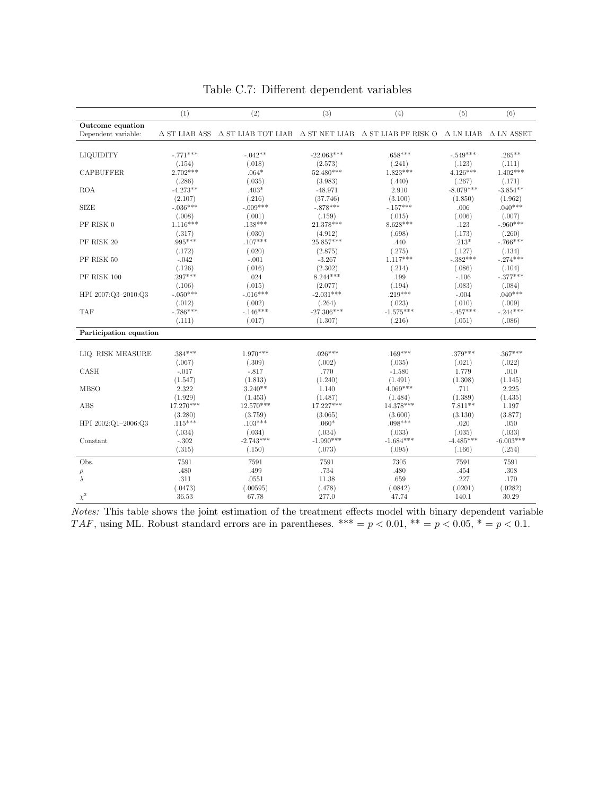|                        | (1)         | (2)                                                                                                        | (3)          | (4)         | (5)         | (6)                                |
|------------------------|-------------|------------------------------------------------------------------------------------------------------------|--------------|-------------|-------------|------------------------------------|
| Outcome equation       |             |                                                                                                            |              |             |             |                                    |
| Dependent variable:    |             | $\triangle$ ST LIAB ASS $\triangle$ ST LIAB TOT LIAB $\triangle$ ST NET LIAB $\triangle$ ST LIAB PF RISK O |              |             |             | $\Delta$ LN LIAB $\Delta$ LN ASSET |
|                        |             |                                                                                                            |              |             |             |                                    |
| LIQUIDITY              | $-.771***$  | $-.042**$                                                                                                  | $-22.063***$ | $.658***$   | $-.549***$  | $.265***$                          |
|                        | (.154)      | (.018)                                                                                                     | (2.573)      | (.241)      | (.123)      | (.111)                             |
| <b>CAPBUFFER</b>       | $2.702***$  | $.064*$                                                                                                    | 52.480***    | $1.823***$  | $4.126***$  | $1.402***$                         |
|                        | (.286)      | (.035)                                                                                                     | (3.983)      | (.440)      | (.267)      | (.171)                             |
| <b>ROA</b>             | $-4.273**$  | $.403*$                                                                                                    | $-48.971$    | 2.910       | $-8.079***$ | $-3.854**$                         |
|                        | (2.107)     | (.216)                                                                                                     | (37.746)     | (3.100)     | (1.850)     | (1.962)                            |
| <b>SIZE</b>            | $-.036***$  | $-.009***$                                                                                                 | $-.878***$   | $-.157***$  | .006        | $.040***$                          |
|                        | (.008)      | (.001)                                                                                                     | (.159)       | (.015)      | (.006)      | (.007)                             |
| PF RISK 0              | $1.116***$  | $.138***$                                                                                                  | $21.378***$  | $8.628***$  | .123        | $-.960***$                         |
|                        | (.317)      | (.030)                                                                                                     | (4.912)      | (.698)      | (.173)      | (.260)                             |
| PF RISK 20             | $.995***$   | $.107***$                                                                                                  | 25.857***    | .440        | $.213*$     | $-.766***$                         |
|                        | (.172)      | (.020)                                                                                                     | (2.875)      | (.275)      | (.127)      | (.134)                             |
| PF RISK 50             | $-.042$     | $-.001$                                                                                                    | $-3.267$     | $1.117***$  | $-.382***$  | $-.274***$                         |
|                        | (.126)      | (.016)                                                                                                     | (2.302)      | (.214)      | (.086)      | (.104)                             |
| PF RISK 100            | $.297***$   | .024                                                                                                       | $8.244***$   | .199        | $-.106$     | $-.377***$                         |
|                        | (.106)      | (.015)                                                                                                     | (2.077)      | (.194)      | (.083)      | (.084)                             |
| HPI 2007:Q3-2010:Q3    | $-.050***$  | $-.016***$                                                                                                 | $-2.031***$  | $.219***$   | $-.004$     | $.040***$                          |
|                        | (.012)      | (.002)                                                                                                     | (.264)       | (.023)      | (.010)      | (.009)                             |
| <b>TAF</b>             | $-.786***$  | $-.146***$                                                                                                 | $-27.306***$ | $-1.575***$ | $-.457***$  | $-.244***$                         |
|                        | (.111)      | (.017)                                                                                                     | (1.307)      | (.216)      | (.051)      | (.086)                             |
| Participation equation |             |                                                                                                            |              |             |             |                                    |
|                        |             |                                                                                                            |              |             |             |                                    |
| LIQ. RISK MEASURE      | $.384***$   | $1.970***$                                                                                                 | $.026***$    | $.169***$   | $.379***$   | $.367***$                          |
|                        | (.067)      | (.309)                                                                                                     | (.002)       | (.035)      | (.021)      | (.022)                             |
| CASH                   | $-.017$     | $-.817$                                                                                                    | .770         | $-1.580$    | 1.779       | .010                               |
|                        | (1.547)     | (1.813)                                                                                                    | (1.240)      | (1.491)     | (1.308)     | (1.145)                            |
| <b>MBSO</b>            | 2.322       | $3.240**$                                                                                                  | 1.140        | $4.069***$  | .711        | 2.225                              |
|                        | (1.929)     | (1.453)                                                                                                    | (1.487)      | (1.484)     | (1.389)     | (1.435)                            |
| ABS                    | $17.270***$ | $12.570***$                                                                                                | 17.227***    | $14.378***$ | $7.811**$   | 1.197                              |
|                        | (3.280)     | (3.759)                                                                                                    | (3.065)      | (3.600)     | (3.130)     | (3.877)                            |
| HPI 2002:Q1-2006:Q3    | $.115***$   | $.103***$                                                                                                  | $.060*$      | $.098***$   | .020        | .050                               |
|                        | (.034)      | (.034)                                                                                                     | (.034)       | (.033)      | (.035)      | (.033)                             |
| Constant               | $-.302$     | $-2.743***$                                                                                                | $-1.990***$  | $-1.684***$ | $-4.485***$ | $-6.003***$                        |
|                        | (.315)      | (.150)                                                                                                     | (.073)       | (.095)      | (.166)      | (.254)                             |
| Obs.                   | 7591        | 7591                                                                                                       | 7591         | 7305        | 7591        | 7591                               |
| $\rho$                 | .480        | .499                                                                                                       | .734         | .480        | .454        | .308                               |
| $\lambda$              | .311        | .0551                                                                                                      | 11.38        | .659        | .227        | .170                               |
|                        | (.0473)     | (.00595)                                                                                                   | (.478)       | (.0842)     | (.0201)     | (.0282)                            |
| $\chi^2$               | 36.53       | 67.78                                                                                                      | 277.0        | 47.74       | 140.1       | 30.29                              |

Table C.7: Different dependent variables

Notes: This table shows the joint estimation of the treatment effects model with binary dependent variable TAF, using ML. Robust standard errors are in parentheses.  $*** = p < 0.01$ ,  $** = p < 0.05$ ,  $* = p < 0.1$ .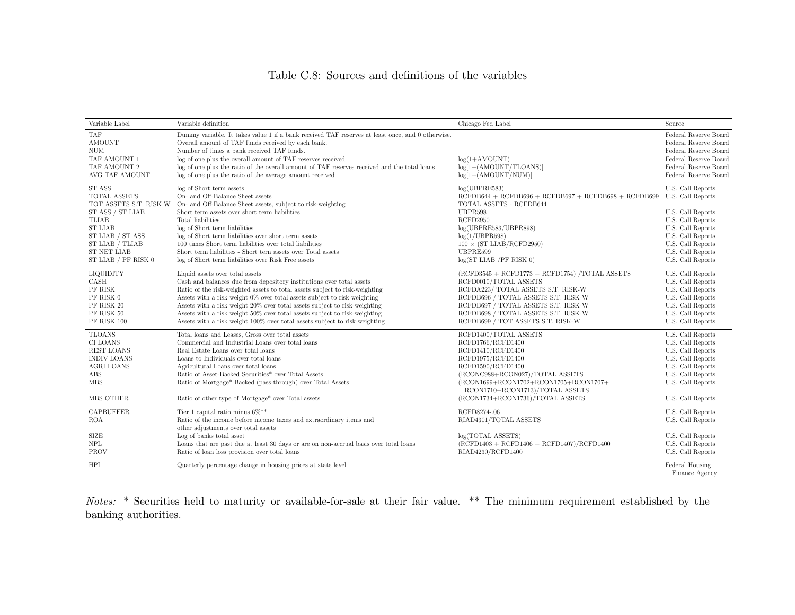## Table C.8: Sources and definitions of the variables

| Variable Label         | Variable definition                                                                              | Chicago Fed Label                                                        | Source                            |
|------------------------|--------------------------------------------------------------------------------------------------|--------------------------------------------------------------------------|-----------------------------------|
| TAF                    | Dummy variable. It takes value 1 if a bank received TAF reserves at least once, and 0 otherwise. |                                                                          | Federal Reserve Board             |
| AMOUNT                 | Overall amount of TAF funds received by each bank.                                               |                                                                          | Federal Reserve Board             |
| <b>NUM</b>             | Number of times a bank received TAF funds.                                                       |                                                                          | Federal Reserve Board             |
| TAF AMOUNT 1           | log of one plus the overall amount of TAF reserves received                                      | $log(1+AMOUNT)$                                                          | Federal Reserve Board             |
| TAF AMOUNT 2           | log of one plus the ratio of the overall amount of TAF reserves received and the total loans     | $log[1+(AMOUNT/TLOANS)]$                                                 | Federal Reserve Board             |
| AVG TAF AMOUNT         | log of one plus the ratio of the average amount received                                         | $log[1+(AMOUNT/NUM)]$                                                    | Federal Reserve Board             |
| <b>ST ASS</b>          | log of Short term assets                                                                         | log(UBPRE583)                                                            | U.S. Call Reports                 |
| <b>TOTAL ASSETS</b>    | On- and Off-Balance Sheet assets                                                                 | $RCFDB644 + RCFDB696 + RCFDB697 + RCFDB698 + RCFDB699$                   | U.S. Call Reports                 |
| TOT ASSETS S.T. RISK W | On- and Off-Balance Sheet assets, subject to risk-weighting                                      | TOTAL ASSETS - RCFDB644                                                  |                                   |
| ST ASS / ST LIAB       | Short term assets over short term liabilities                                                    | UBPR598                                                                  | U.S. Call Reports                 |
| <b>TLIAB</b>           | Total liabilities                                                                                | RCFD2950                                                                 | U.S. Call Reports                 |
| <b>ST LIAB</b>         | log of Short term liabilities                                                                    | log(UBPRE583/UBPR898)                                                    | U.S. Call Reports                 |
| ST LIAB / ST ASS       | log of Short term liabilities over short term assets                                             | log(1 / UBPR598)                                                         | U.S. Call Reports                 |
| ST LIAB / TLIAB        | 100 times Short term liabilities over total liabilities                                          | $100 \times (ST LIAB/RCFD2950)$                                          | U.S. Call Reports                 |
| <b>ST NET LIAB</b>     | Short term liabilities - Short tern assets over Total assets                                     | UBPRE599                                                                 | U.S. Call Reports                 |
| ST LIAB / PF RISK 0    | log of Short term liabilities over Risk Free assets                                              | $log(ST$ LIAB /PF RISK 0)                                                | U.S. Call Reports                 |
| LIQUIDITY              | Liquid assets over total assets                                                                  | $(RCFD3545 + RCFD1773 + RCFD1754)$ /TOTAL ASSETS                         | U.S. Call Reports                 |
| CASH                   | Cash and balances due from depository institutions over total assets                             | RCFD0010/TOTAL ASSETS                                                    | U.S. Call Reports                 |
| PF RISK                | Ratio of the risk-weighted assets to total assets subject to risk-weighting                      | RCFDA223/ TOTAL ASSETS S.T. RISK-W                                       | U.S. Call Reports                 |
| PF RISK 0              | Assets with a risk weight 0% over total assets subject to risk-weighting                         | RCFDB696 / TOTAL ASSETS S.T. RISK-W                                      | U.S. Call Reports                 |
| PF RISK 20             | Assets with a risk weight 20% over total assets subject to risk-weighting                        | RCFDB697 / TOTAL ASSETS S.T. RISK-W                                      | U.S. Call Reports                 |
| PF RISK 50             | Assets with a risk weight 50% over total assets subject to risk-weighting                        | RCFDB698 / TOTAL ASSETS S.T. RISK-W                                      | U.S. Call Reports                 |
| PF RISK 100            | Assets with a risk weight 100% over total assets subject to risk-weighting                       | RCFDB699 / TOT ASSETS S.T. RISK-W                                        | U.S. Call Reports                 |
| <b>TLOANS</b>          | Total loans and Leases, Gross over total assets                                                  | RCFD1400/TOTAL ASSETS                                                    | U.S. Call Reports                 |
| CI LOANS               | Commercial and Industrial Loans over total loans                                                 | RCFD1766/RCFD1400                                                        | U.S. Call Reports                 |
| REST LOANS             | Real Estate Loans over total loans                                                               | RCFD1410/RCFD1400                                                        | U.S. Call Reports                 |
| <b>INDIV LOANS</b>     | Loans to Individuals over total loans                                                            | RCFD1975/RCFD1400                                                        | U.S. Call Reports                 |
| <b>AGRI LOANS</b>      | Agricultural Loans over total loans                                                              | RCFD1590/RCFD1400                                                        | U.S. Call Reports                 |
| ABS                    | Ratio of Asset-Backed Securities* over Total Assets                                              | (RCONC988+RCON027)/TOTAL ASSETS                                          | U.S. Call Reports                 |
| <b>MBS</b>             | Ratio of Mortgage* Backed (pass-through) over Total Assets                                       | (RCON1699+RCON1702+RCON1705+RCON1707+<br>RCON1710+RCON1713)/TOTAL ASSETS | U.S. Call Reports                 |
| MBS OTHER              | Ratio of other type of Mortgage* over Total assets                                               | (RCON1734+RCON1736)/TOTAL ASSETS                                         | U.S. Call Reports                 |
| <b>CAPBUFFER</b>       | Tier 1 capital ratio minus $6\%$ **                                                              | RCFD8274-.06                                                             | U.S. Call Reports                 |
| <b>ROA</b>             | Ratio of the income before income taxes and extraordinary items and                              | RIAD4301/TOTAL ASSETS                                                    | U.S. Call Reports                 |
| <b>SIZE</b>            | other adjustments over total assets<br>Log of banks total asset                                  | log(TOTAL ASSETS)                                                        | U.S. Call Reports                 |
| <b>NPL</b>             |                                                                                                  |                                                                          |                                   |
|                        | Loans that are past due at least 30 days or are on non-accrual basis over total loans            | $(RCFD1403 + RCFD1406 + RCFD1407)/RCFD1400$                              | U.S. Call Reports                 |
| PROV                   | Ratio of loan loss provision over total loans                                                    | RIAD4230/RCFD1400                                                        | U.S. Call Reports                 |
| HPI                    | Quarterly percentage change in housing prices at state level                                     |                                                                          | Federal Housing<br>Finance Agency |
|                        |                                                                                                  |                                                                          |                                   |

Notes: \* Securities held to maturity or available-for-sale at their fair value. \*\* The minimum requirement established by the banking authorities.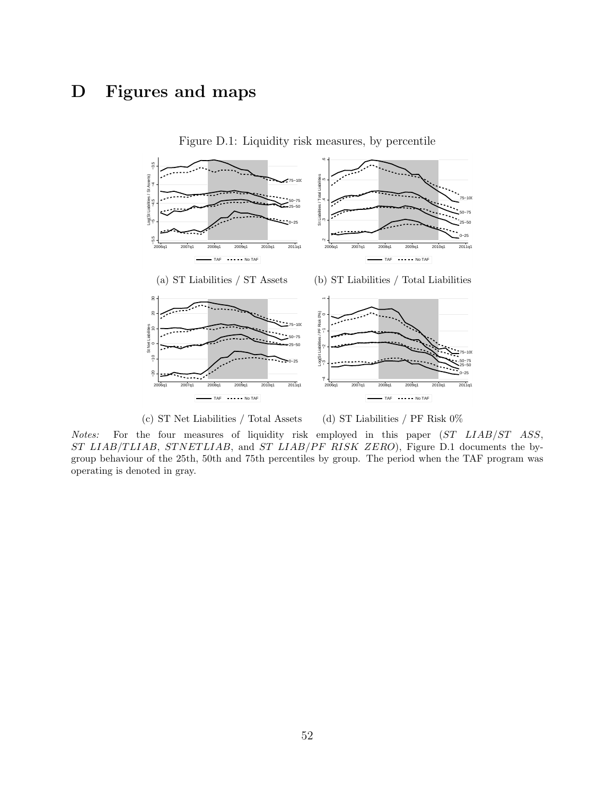# D Figures and maps



Figure D.1: Liquidity risk measures, by percentile

(c) ST Net Liabilities / Total Assets

(d) ST Liabilities / PF Risk 0%

Notes: For the four measures of liquidity risk employed in this paper (ST LIAB/ST ASS, ST LIAB/TLIAB, STNETLIAB, and ST LIAB/PF RISK ZERO), Figure D.1 documents the bygroup behaviour of the 25th, 50th and 75th percentiles by group. The period when the TAF program was operating is denoted in gray.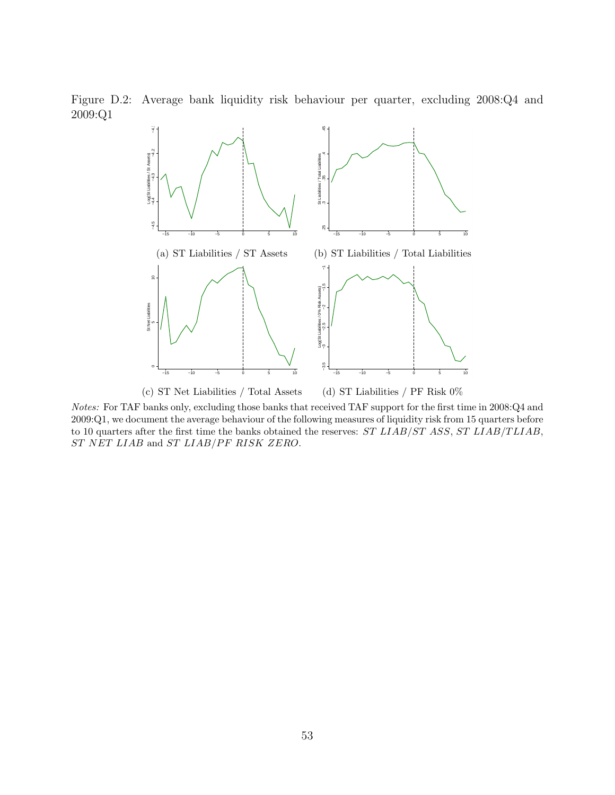Figure D.2: Average bank liquidity risk behaviour per quarter, excluding 2008:Q4 and 2009:Q1



Notes: For TAF banks only, excluding those banks that received TAF support for the first time in 2008:Q4 and 2009:Q1, we document the average behaviour of the following measures of liquidity risk from 15 quarters before to 10 quarters after the first time the banks obtained the reserves: ST LIAB/ST ASS, ST LIAB/TLIAB, ST NET LIAB and ST LIAB/PF RISK ZERO.